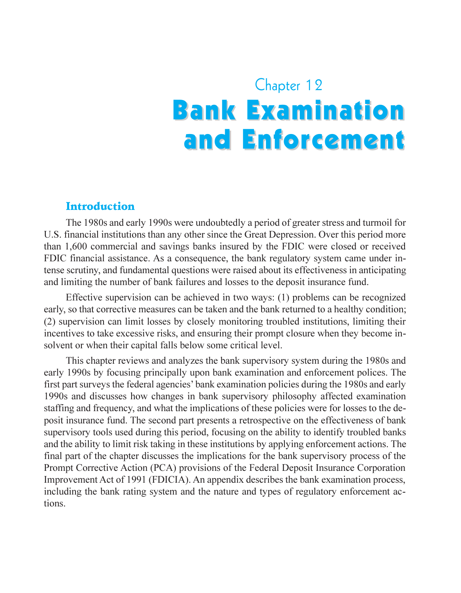# Chapter 12 **Bank Examination** and Enforcement

#### Introduction

The 1980s and early 1990s were undoubtedly a period of greater stress and turmoil for U.S. financial institutions than any other since the Great Depression. Over this period more than 1,600 commercial and savings banks insured by the FDIC were closed or received FDIC financial assistance. As a consequence, the bank regulatory system came under intense scrutiny, and fundamental questions were raised about its effectiveness in anticipating and limiting the number of bank failures and losses to the deposit insurance fund.

Effective supervision can be achieved in two ways: (1) problems can be recognized early, so that corrective measures can be taken and the bank returned to a healthy condition; (2) supervision can limit losses by closely monitoring troubled institutions, limiting their incentives to take excessive risks, and ensuring their prompt closure when they become insolvent or when their capital falls below some critical level.

This chapter reviews and analyzes the bank supervisory system during the 1980s and early 1990s by focusing principally upon bank examination and enforcement polices. The first part surveys the federal agencies' bank examination policies during the 1980s and early 1990s and discusses how changes in bank supervisory philosophy affected examination staffing and frequency, and what the implications of these policies were for losses to the deposit insurance fund. The second part presents a retrospective on the effectiveness of bank supervisory tools used during this period, focusing on the ability to identify troubled banks and the ability to limit risk taking in these institutions by applying enforcement actions. The final part of the chapter discusses the implications for the bank supervisory process of the Prompt Corrective Action (PCA) provisions of the Federal Deposit Insurance Corporation Improvement Act of 1991 (FDICIA). An appendix describes the bank examination process, including the bank rating system and the nature and types of regulatory enforcement actions.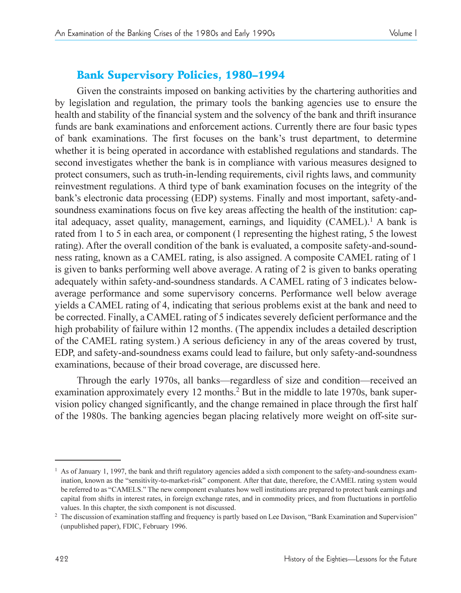# **Bank Supervisory Policies, 1980-1994**

Given the constraints imposed on banking activities by the chartering authorities and by legislation and regulation, the primary tools the banking agencies use to ensure the health and stability of the financial system and the solvency of the bank and thrift insurance funds are bank examinations and enforcement actions. Currently there are four basic types of bank examinations. The first focuses on the bank's trust department, to determine whether it is being operated in accordance with established regulations and standards. The second investigates whether the bank is in compliance with various measures designed to protect consumers, such as truth-in-lending requirements, civil rights laws, and community reinvestment regulations. A third type of bank examination focuses on the integrity of the bank's electronic data processing (EDP) systems. Finally and most important, safety-andsoundness examinations focus on five key areas affecting the health of the institution: capital adequacy, asset quality, management, earnings, and liquidity (CAMEL).<sup>1</sup> A bank is rated from 1 to 5 in each area, or component (1 representing the highest rating, 5 the lowest rating). After the overall condition of the bank is evaluated, a composite safety-and-soundness rating, known as a CAMEL rating, is also assigned. A composite CAMEL rating of 1 is given to banks performing well above average. A rating of 2 is given to banks operating adequately within safety-and-soundness standards. A CAMEL rating of 3 indicates belowaverage performance and some supervisory concerns. Performance well below average yields a CAMEL rating of 4, indicating that serious problems exist at the bank and need to be corrected. Finally, a CAMEL rating of 5 indicates severely deficient performance and the high probability of failure within 12 months. (The appendix includes a detailed description of the CAMEL rating system.) A serious deficiency in any of the areas covered by trust, EDP, and safety-and-soundness exams could lead to failure, but only safety-and-soundness examinations, because of their broad coverage, are discussed here.

Through the early 1970s, all banks—regardless of size and condition—received an examination approximately every 12 months.<sup>2</sup> But in the middle to late 1970s, bank supervision policy changed significantly, and the change remained in place through the first half of the 1980s. The banking agencies began placing relatively more weight on off-site sur-

 $1$  As of January 1, 1997, the bank and thrift regulatory agencies added a sixth component to the safety-and-soundness examination, known as the "sensitivity-to-market-risk" component. After that date, therefore, the CAMEL rating system would be referred to as "CAMELS." The new component evaluates how well institutions are prepared to protect bank earnings and capital from shifts in interest rates, in foreign exchange rates, and in commodity prices, and from fluctuations in portfolio values. In this chapter, the sixth component is not discussed.

 $2$  The discussion of examination staffing and frequency is partly based on Lee Davison, "Bank Examination and Supervision" (unpublished paper), FDIC, February 1996.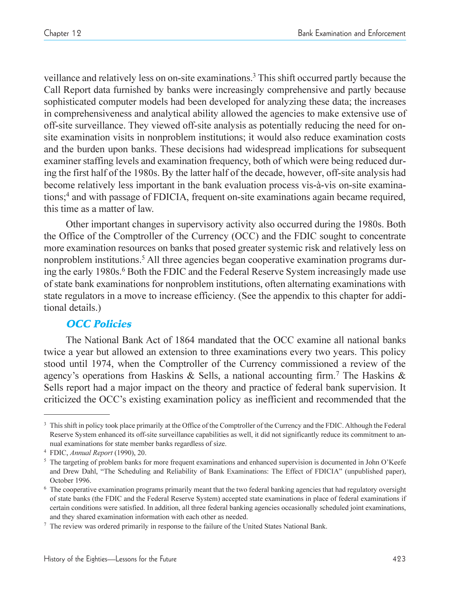veillance and relatively less on on-site examinations.3 This shift occurred partly because the Call Report data furnished by banks were increasingly comprehensive and partly because sophisticated computer models had been developed for analyzing these data; the increases in comprehensiveness and analytical ability allowed the agencies to make extensive use of off-site surveillance. They viewed off-site analysis as potentially reducing the need for onsite examination visits in nonproblem institutions; it would also reduce examination costs and the burden upon banks. These decisions had widespread implications for subsequent examiner staffing levels and examination frequency, both of which were being reduced during the first half of the 1980s. By the latter half of the decade, however, off-site analysis had become relatively less important in the bank evaluation process vis-à-vis on-site examinations;4 and with passage of FDICIA, frequent on-site examinations again became required, this time as a matter of law.

Other important changes in supervisory activity also occurred during the 1980s. Both the Office of the Comptroller of the Currency (OCC) and the FDIC sought to concentrate more examination resources on banks that posed greater systemic risk and relatively less on nonproblem institutions.<sup>5</sup> All three agencies began cooperative examination programs during the early 1980s.<sup>6</sup> Both the FDIC and the Federal Reserve System increasingly made use of state bank examinations for nonproblem institutions, often alternating examinations with state regulators in a move to increase efficiency. (See the appendix to this chapter for additional details.)

## OCC Policies

The National Bank Act of 1864 mandated that the OCC examine all national banks twice a year but allowed an extension to three examinations every two years. This policy stood until 1974, when the Comptroller of the Currency commissioned a review of the agency's operations from Haskins & Sells, a national accounting firm.<sup>7</sup> The Haskins & Sells report had a major impact on the theory and practice of federal bank supervision. It criticized the OCC's existing examination policy as inefficient and recommended that the

<sup>&</sup>lt;sup>3</sup> This shift in policy took place primarily at the Office of the Comptroller of the Currency and the FDIC. Although the Federal Reserve System enhanced its off-site surveillance capabilities as well, it did not significantly reduce its commitment to annual examinations for state member banks regardless of size.

<sup>4</sup> FDIC, *Annual Report* (1990), 20.

 $5$  The targeting of problem banks for more frequent examinations and enhanced supervision is documented in John O'Keefe and Drew Dahl, "The Scheduling and Reliability of Bank Examinations: The Effect of FDICIA" (unpublished paper), October 1996.

<sup>6</sup> The cooperative examination programs primarily meant that the two federal banking agencies that had regulatory oversight of state banks (the FDIC and the Federal Reserve System) accepted state examinations in place of federal examinations if certain conditions were satisfied. In addition, all three federal banking agencies occasionally scheduled joint examinations, and they shared examination information with each other as needed.

<sup>7</sup> The review was ordered primarily in response to the failure of the United States National Bank.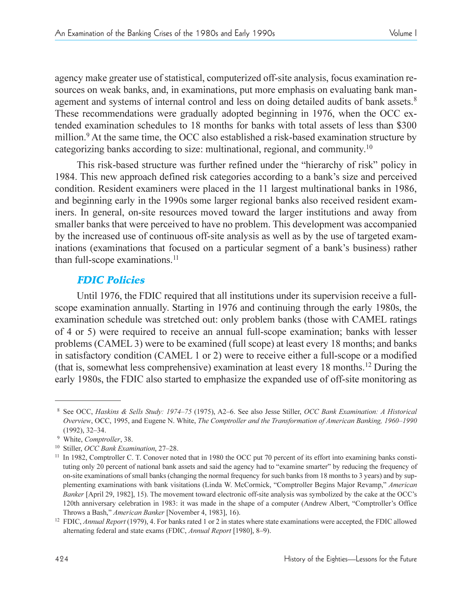agency make greater use of statistical, computerized off-site analysis, focus examination resources on weak banks, and, in examinations, put more emphasis on evaluating bank management and systems of internal control and less on doing detailed audits of bank assets.<sup>8</sup> These recommendations were gradually adopted beginning in 1976, when the OCC extended examination schedules to 18 months for banks with total assets of less than \$300 million. $9$  At the same time, the OCC also established a risk-based examination structure by categorizing banks according to size: multinational, regional, and community.<sup>10</sup>

This risk-based structure was further refined under the "hierarchy of risk" policy in 1984. This new approach defined risk categories according to a bank's size and perceived condition. Resident examiners were placed in the 11 largest multinational banks in 1986, and beginning early in the 1990s some larger regional banks also received resident examiners. In general, on-site resources moved toward the larger institutions and away from smaller banks that were perceived to have no problem. This development was accompanied by the increased use of continuous off-site analysis as well as by the use of targeted examinations (examinations that focused on a particular segment of a bank's business) rather than full-scope examinations.<sup>11</sup>

## FDIC Policies

Until 1976, the FDIC required that all institutions under its supervision receive a fullscope examination annually. Starting in 1976 and continuing through the early 1980s, the examination schedule was stretched out: only problem banks (those with CAMEL ratings of 4 or 5) were required to receive an annual full-scope examination; banks with lesser problems (CAMEL 3) were to be examined (full scope) at least every 18 months; and banks in satisfactory condition (CAMEL 1 or 2) were to receive either a full-scope or a modified (that is, somewhat less comprehensive) examination at least every 18 months.12 During the early 1980s, the FDIC also started to emphasize the expanded use of off-site monitoring as

<sup>8</sup> See OCC, *Haskins & Sells Study: 197475* (1975), A26. See also Jesse Stiller, *OCC Bank Examination: A Historical Overview*, OCC, 1995, and Eugene N. White, *The Comptroller and the Transformation of American Banking, 1960–1990*  $(1992), 32-34.$ 

<sup>&</sup>lt;sup>9</sup> White, *Comptroller*, 38.<br><sup>10</sup> Stiller, *OCC Bank Examination*, 27–28.

<sup>&</sup>lt;sup>11</sup> In 1982, Comptroller C. T. Conover noted that in 1980 the OCC put 70 percent of its effort into examining banks constituting only 20 percent of national bank assets and said the agency had to "examine smarter" by reducing the frequency of on-site examinations of small banks (changing the normal frequency for such banks from 18 months to 3 years) and by supplementing examinations with bank visitations (Linda W. McCormick, "Comptroller Begins Major Revamp," American *Banker* [April 29, 1982], 15). The movement toward electronic off-site analysis was symbolized by the cake at the OCC's 120th anniversary celebration in 1983: it was made in the shape of a computer (Andrew Albert, "Comptroller's Office

Throws a Bash," *American Banker* [November 4, 1983], 16). 12 FDIC, *Annual Report* (1979), 4. For banks rated 1 or 2 in states where state examinations were accepted, the FDIC allowed alternating federal and state exams (FDIC, *Annual Report* [1980], 8-9).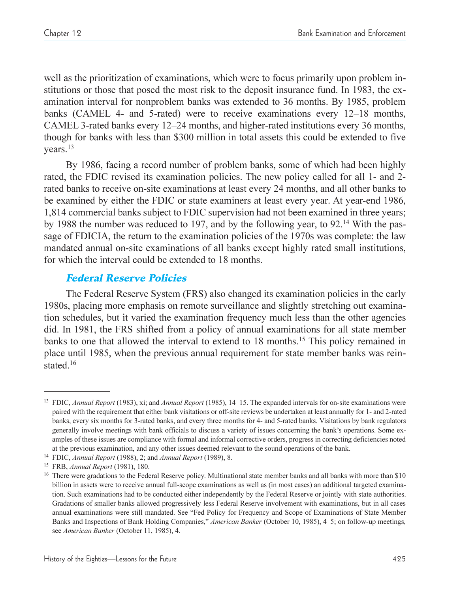well as the prioritization of examinations, which were to focus primarily upon problem institutions or those that posed the most risk to the deposit insurance fund. In 1983, the examination interval for nonproblem banks was extended to 36 months. By 1985, problem banks (CAMEL 4- and 5-rated) were to receive examinations every  $12-18$  months, CAMEL 3-rated banks every  $12-24$  months, and higher-rated institutions every 36 months, though for banks with less than \$300 million in total assets this could be extended to five years.13

By 1986, facing a record number of problem banks, some of which had been highly rated, the FDIC revised its examination policies. The new policy called for all 1- and 2 rated banks to receive on-site examinations at least every 24 months, and all other banks to be examined by either the FDIC or state examiners at least every year. At year-end 1986, 1,814 commercial banks subject to FDIC supervision had not been examined in three years; by 1988 the number was reduced to 197, and by the following year, to  $92<sup>14</sup>$  With the passage of FDICIA, the return to the examination policies of the 1970s was complete: the law mandated annual on-site examinations of all banks except highly rated small institutions, for which the interval could be extended to 18 months.

## Federal Reserve Policies

The Federal Reserve System (FRS) also changed its examination policies in the early 1980s, placing more emphasis on remote surveillance and slightly stretching out examination schedules, but it varied the examination frequency much less than the other agencies did. In 1981, the FRS shifted from a policy of annual examinations for all state member banks to one that allowed the interval to extend to 18 months.<sup>15</sup> This policy remained in place until 1985, when the previous annual requirement for state member banks was reinstated.<sup>16</sup>

<sup>&</sup>lt;sup>13</sup> FDIC, *Annual Report* (1983), xi; and *Annual Report* (1985), 14–15. The expanded intervals for on-site examinations were paired with the requirement that either bank visitations or off-site reviews be undertaken at least annually for 1- and 2-rated banks, every six months for 3-rated banks, and every three months for 4- and 5-rated banks. Visitations by bank regulators generally involve meetings with bank officials to discuss a variety of issues concerning the bank's operations. Some examples of these issues are compliance with formal and informal corrective orders, progress in correcting deficiencies noted at the previous examination, and any other issues deemed relevant to the sound operations of the bank. 14 FDIC, *Annual Report* (1988), 2; and *Annual Report* (1989), 8. 15 FRB, *Annual Report* (1981), 180.

<sup>&</sup>lt;sup>16</sup> There were gradations to the Federal Reserve policy. Multinational state member banks and all banks with more than \$10 billion in assets were to receive annual full-scope examinations as well as (in most cases) an additional targeted examination. Such examinations had to be conducted either independently by the Federal Reserve or jointly with state authorities. Gradations of smaller banks allowed progressively less Federal Reserve involvement with examinations, but in all cases annual examinations were still mandated. See "Fed Policy for Frequency and Scope of Examinations of State Member Banks and Inspections of Bank Holding Companies," *American Banker* (October 10, 1985), 4–5; on follow-up meetings, see *American Banker* (October 11, 1985), 4.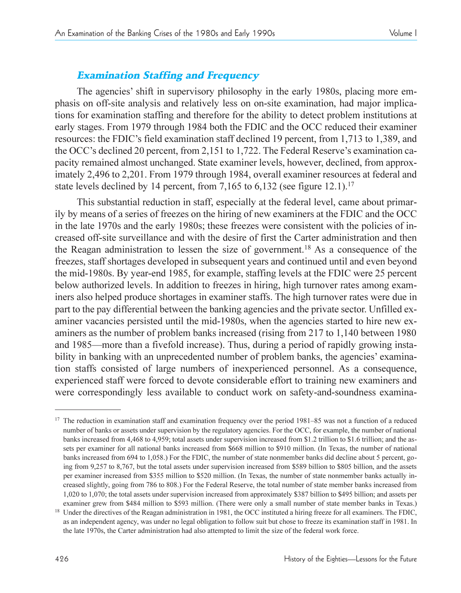## Examination Staffing and Frequency

The agencies' shift in supervisory philosophy in the early 1980s, placing more emphasis on off-site analysis and relatively less on on-site examination, had major implications for examination staffing and therefore for the ability to detect problem institutions at early stages. From 1979 through 1984 both the FDIC and the OCC reduced their examiner resources: the FDIC's field examination staff declined 19 percent, from 1,713 to 1,389, and the OCC's declined 20 percent, from 2,151 to 1,722. The Federal Reserve's examination capacity remained almost unchanged. State examiner levels, however, declined, from approximately 2,496 to 2,201. From 1979 through 1984, overall examiner resources at federal and state levels declined by 14 percent, from 7,165 to 6,132 (see figure 12.1).<sup>17</sup>

This substantial reduction in staff, especially at the federal level, came about primarily by means of a series of freezes on the hiring of new examiners at the FDIC and the OCC in the late 1970s and the early 1980s; these freezes were consistent with the policies of increased off-site surveillance and with the desire of first the Carter administration and then the Reagan administration to lessen the size of government.18 As a consequence of the freezes, staff shortages developed in subsequent years and continued until and even beyond the mid-1980s. By year-end 1985, for example, staffing levels at the FDIC were 25 percent below authorized levels. In addition to freezes in hiring, high turnover rates among examiners also helped produce shortages in examiner staffs. The high turnover rates were due in part to the pay differential between the banking agencies and the private sector. Unfilled examiner vacancies persisted until the mid-1980s, when the agencies started to hire new examiners as the number of problem banks increased (rising from 217 to 1,140 between 1980 and 1985—more than a fivefold increase). Thus, during a period of rapidly growing instability in banking with an unprecedented number of problem banks, the agencies' examination staffs consisted of large numbers of inexperienced personnel. As a consequence, experienced staff were forced to devote considerable effort to training new examiners and were correspondingly less available to conduct work on safety-and-soundness examina-

<sup>&</sup>lt;sup>17</sup> The reduction in examination staff and examination frequency over the period  $1981-85$  was not a function of a reduced number of banks or assets under supervision by the regulatory agencies. For the OCC, for example, the number of national banks increased from 4,468 to 4,959; total assets under supervision increased from \$1.2 trillion to \$1.6 trillion; and the assets per examiner for all national banks increased from \$668 million to \$910 million. (In Texas, the number of national banks increased from 694 to 1,058.) For the FDIC, the number of state nonmember banks did decline about 5 percent, going from 9,257 to 8,767, but the total assets under supervision increased from \$589 billion to \$805 billion, and the assets per examiner increased from \$355 million to \$520 million. (In Texas, the number of state nonmember banks actually increased slightly, going from 786 to 808.) For the Federal Reserve, the total number of state member banks increased from 1,020 to 1,070; the total assets under supervision increased from approximately \$387 billion to \$495 billion; and assets per examiner grew from \$484 million to \$593 million. (There were only a small number of state member banks in Texas.)

<sup>&</sup>lt;sup>18</sup> Under the directives of the Reagan administration in 1981, the OCC instituted a hiring freeze for all examiners. The FDIC, as an independent agency, was under no legal obligation to follow suit but chose to freeze its examination staff in 1981. In the late 1970s, the Carter administration had also attempted to limit the size of the federal work force.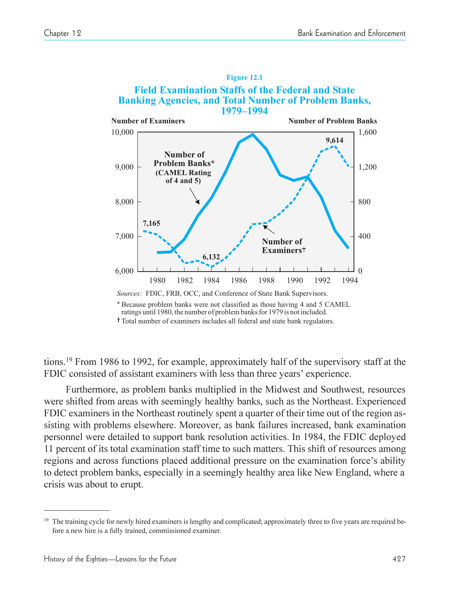

*Sources:* FDIC, FRB, OCC, and Conference of State Bank Supervisors.

Total number of examiners includes all federal and state bank regulators.

tions.19 From 1986 to 1992, for example, approximately half of the supervisory staff at the FDIC consisted of assistant examiners with less than three years' experience.

Furthermore, as problem banks multiplied in the Midwest and Southwest, resources were shifted from areas with seemingly healthy banks, such as the Northeast. Experienced FDIC examiners in the Northeast routinely spent a quarter of their time out of the region assisting with problems elsewhere. Moreover, as bank failures increased, bank examination personnel were detailed to support bank resolution activities. In 1984, the FDIC deployed 11 percent of its total examination staff time to such matters. This shift of resources among regions and across functions placed additional pressure on the examination force's ability to detect problem banks, especially in a seemingly healthy area like New England, where a crisis was about to erupt.

Because problem banks were not classified as those having 4 and 5 CAMEL \* ratings until 1980, the number of problem banks for 1979 is not included.

<sup>&</sup>lt;sup>19</sup> The training cycle for newly hired examiners is lengthy and complicated; approximately three to five years are required before a new hire is a fully trained, commissioned examiner.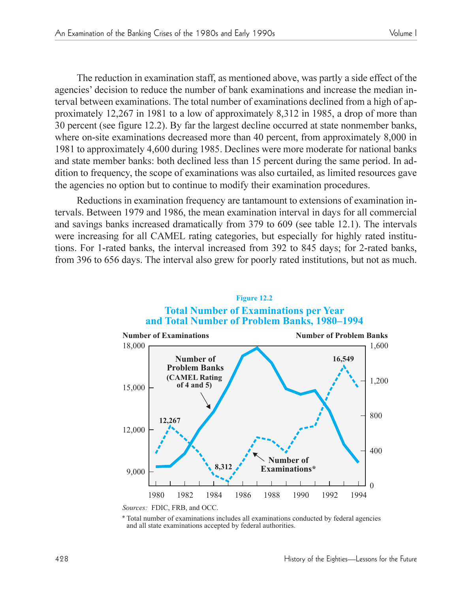The reduction in examination staff, as mentioned above, was partly a side effect of the agencies' decision to reduce the number of bank examinations and increase the median interval between examinations. The total number of examinations declined from a high of approximately 12,267 in 1981 to a low of approximately 8,312 in 1985, a drop of more than 30 percent (see figure 12.2). By far the largest decline occurred at state nonmember banks, where on-site examinations decreased more than 40 percent, from approximately 8,000 in 1981 to approximately 4,600 during 1985. Declines were more moderate for national banks and state member banks: both declined less than 15 percent during the same period. In addition to frequency, the scope of examinations was also curtailed, as limited resources gave the agencies no option but to continue to modify their examination procedures.

Reductions in examination frequency are tantamount to extensions of examination intervals. Between 1979 and 1986, the mean examination interval in days for all commercial and savings banks increased dramatically from 379 to 609 (see table 12.1). The intervals were increasing for all CAMEL rating categories, but especially for highly rated institutions. For 1-rated banks, the interval increased from 392 to 845 days; for 2-rated banks, from 396 to 656 days. The interval also grew for poorly rated institutions, but not as much.



#### **Figure 12.2 Total Number of Examinations per Year and Total Number of Problem Banks, 1980–1994**

Total number of examinations includes all examinations conducted by federal agencies \* and all state examinations accepted by federal authorities.

*Sources:* FDIC, FRB, and OCC.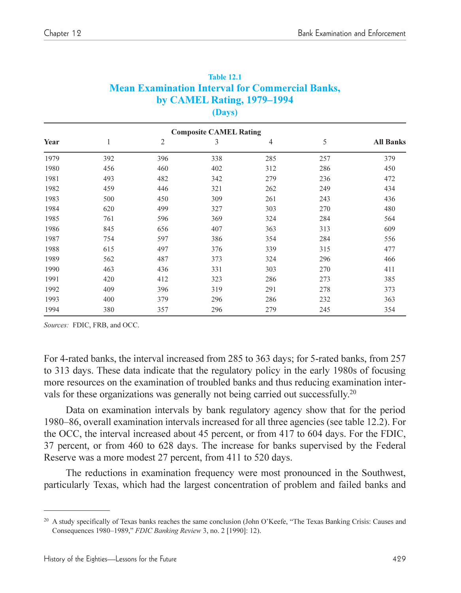|      | <b>Composite CAMEL Rating</b> |                |     |     |     |                  |  |  |  |
|------|-------------------------------|----------------|-----|-----|-----|------------------|--|--|--|
| Year | 1                             | $\overline{2}$ | 3   | 4   | 5   | <b>All Banks</b> |  |  |  |
| 1979 | 392                           | 396            | 338 | 285 | 257 | 379              |  |  |  |
| 1980 | 456                           | 460            | 402 | 312 | 286 | 450              |  |  |  |
| 1981 | 493                           | 482            | 342 | 279 | 236 | 472              |  |  |  |
| 1982 | 459                           | 446            | 321 | 262 | 249 | 434              |  |  |  |
| 1983 | 500                           | 450            | 309 | 261 | 243 | 436              |  |  |  |
| 1984 | 620                           | 499            | 327 | 303 | 270 | 480              |  |  |  |
| 1985 | 761                           | 596            | 369 | 324 | 284 | 564              |  |  |  |
| 1986 | 845                           | 656            | 407 | 363 | 313 | 609              |  |  |  |
| 1987 | 754                           | 597            | 386 | 354 | 284 | 556              |  |  |  |
| 1988 | 615                           | 497            | 376 | 339 | 315 | 477              |  |  |  |
| 1989 | 562                           | 487            | 373 | 324 | 296 | 466              |  |  |  |
| 1990 | 463                           | 436            | 331 | 303 | 270 | 411              |  |  |  |
| 1991 | 420                           | 412            | 323 | 286 | 273 | 385              |  |  |  |
| 1992 | 409                           | 396            | 319 | 291 | 278 | 373              |  |  |  |
| 1993 | 400                           | 379            | 296 | 286 | 232 | 363              |  |  |  |
| 1994 | 380                           | 357            | 296 | 279 | 245 | 354              |  |  |  |

#### **Table 12.1 Mean Examination Interval for Commercial Banks, by CAMEL Rating, 1979–1994 (Days)**

*Sources:* FDIC, FRB, and OCC.

For 4-rated banks, the interval increased from 285 to 363 days; for 5-rated banks, from 257 to 313 days. These data indicate that the regulatory policy in the early 1980s of focusing more resources on the examination of troubled banks and thus reducing examination intervals for these organizations was generally not being carried out successfully.<sup>20</sup>

Data on examination intervals by bank regulatory agency show that for the period 1980–86, overall examination intervals increased for all three agencies (see table 12.2). For the OCC, the interval increased about 45 percent, or from 417 to 604 days. For the FDIC, 37 percent, or from 460 to 628 days. The increase for banks supervised by the Federal Reserve was a more modest 27 percent, from 411 to 520 days.

The reductions in examination frequency were most pronounced in the Southwest, particularly Texas, which had the largest concentration of problem and failed banks and

<sup>&</sup>lt;sup>20</sup> A study specifically of Texas banks reaches the same conclusion (John O'Keefe, "The Texas Banking Crisis: Causes and Consequences 1980-1989," FDIC Banking Review 3, no. 2 [1990]: 12).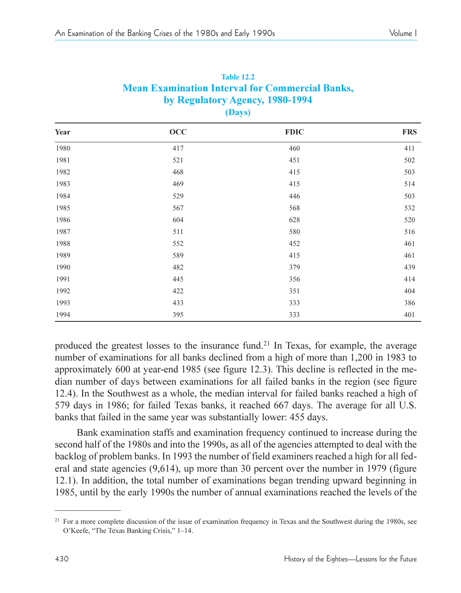| $(\boldsymbol{\nu}$ ays) |           |             |            |  |  |  |
|--------------------------|-----------|-------------|------------|--|--|--|
| Year                     | $\rm occ$ | <b>FDIC</b> | <b>FRS</b> |  |  |  |
| 1980                     | 417       | 460         | 411        |  |  |  |
| 1981                     | 521       | 451         | 502        |  |  |  |
| 1982                     | 468       | 415         | 503        |  |  |  |
| 1983                     | 469       | 415         | 514        |  |  |  |
| 1984                     | 529       | 446         | 503        |  |  |  |
| 1985                     | 567       | 568         | 532        |  |  |  |
| 1986                     | 604       | 628         | 520        |  |  |  |
| 1987                     | 511       | 580         | 516        |  |  |  |
| 1988                     | 552       | 452         | 461        |  |  |  |
| 1989                     | 589       | 415         | 461        |  |  |  |
| 1990                     | 482       | 379         | 439        |  |  |  |
| 1991                     | 445       | 356         | 414        |  |  |  |
| 1992                     | 422       | 351         | 404        |  |  |  |
| 1993                     | 433       | 333         | 386        |  |  |  |
| 1994                     | 395       | 333         | 401        |  |  |  |

|                                 | <b>Table 12.2</b>                                      |  |  |  |  |  |
|---------------------------------|--------------------------------------------------------|--|--|--|--|--|
|                                 | <b>Mean Examination Interval for Commercial Banks,</b> |  |  |  |  |  |
| by Regulatory Agency, 1980-1994 |                                                        |  |  |  |  |  |
|                                 | (Days)                                                 |  |  |  |  |  |

produced the greatest losses to the insurance fund.<sup>21</sup> In Texas, for example, the average number of examinations for all banks declined from a high of more than 1,200 in 1983 to approximately 600 at year-end 1985 (see figure 12.3). This decline is reflected in the median number of days between examinations for all failed banks in the region (see figure 12.4). In the Southwest as a whole, the median interval for failed banks reached a high of 579 days in 1986; for failed Texas banks, it reached 667 days. The average for all U.S. banks that failed in the same year was substantially lower: 455 days.

Bank examination staffs and examination frequency continued to increase during the second half of the 1980s and into the 1990s, as all of the agencies attempted to deal with the backlog of problem banks. In 1993 the number of field examiners reached a high for all federal and state agencies (9,614), up more than 30 percent over the number in 1979 (figure 12.1). In addition, the total number of examinations began trending upward beginning in 1985, until by the early 1990s the number of annual examinations reached the levels of the

<sup>&</sup>lt;sup>21</sup> For a more complete discussion of the issue of examination frequency in Texas and the Southwest during the 1980s, see O'Keefe, "The Texas Banking Crisis," 1-14.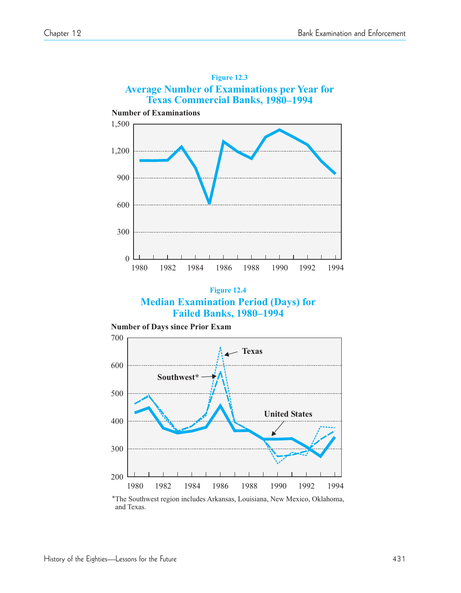

**Figure 12.4 Median Examination Period (Days) for Failed Banks, 1980–1994**



The Southwest region includes Arkansas, Louisiana, New Mexico, Oklahoma, \*and Texas.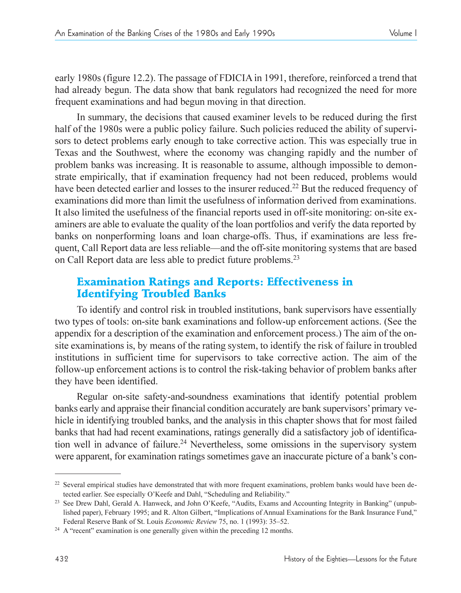early 1980s (figure 12.2). The passage of FDICIA in 1991, therefore, reinforced a trend that had already begun. The data show that bank regulators had recognized the need for more frequent examinations and had begun moving in that direction.

In summary, the decisions that caused examiner levels to be reduced during the first half of the 1980s were a public policy failure. Such policies reduced the ability of supervisors to detect problems early enough to take corrective action. This was especially true in Texas and the Southwest, where the economy was changing rapidly and the number of problem banks was increasing. It is reasonable to assume, although impossible to demonstrate empirically, that if examination frequency had not been reduced, problems would have been detected earlier and losses to the insurer reduced.<sup>22</sup> But the reduced frequency of examinations did more than limit the usefulness of information derived from examinations. It also limited the usefulness of the financial reports used in off-site monitoring: on-site examiners are able to evaluate the quality of the loan portfolios and verify the data reported by banks on nonperforming loans and loan charge-offs. Thus, if examinations are less frequent, Call Report data are less reliable—and the off-site monitoring systems that are based on Call Report data are less able to predict future problems.23

## Examination Ratings and Reports: Effectiveness in Identifying Troubled Banks

To identify and control risk in troubled institutions, bank supervisors have essentially two types of tools: on-site bank examinations and follow-up enforcement actions. (See the appendix for a description of the examination and enforcement process.) The aim of the onsite examinations is, by means of the rating system, to identify the risk of failure in troubled institutions in sufficient time for supervisors to take corrective action. The aim of the follow-up enforcement actions is to control the risk-taking behavior of problem banks after they have been identified.

Regular on-site safety-and-soundness examinations that identify potential problem banks early and appraise their financial condition accurately are bank supervisors' primary vehicle in identifying troubled banks, and the analysis in this chapter shows that for most failed banks that had had recent examinations, ratings generally did a satisfactory job of identification well in advance of failure.<sup>24</sup> Nevertheless, some omissions in the supervisory system were apparent, for examination ratings sometimes gave an inaccurate picture of a bank's con-

<sup>&</sup>lt;sup>22</sup> Several empirical studies have demonstrated that with more frequent examinations, problem banks would have been detected earlier. See especially O'Keefe and Dahl, "Scheduling and Reliability."

<sup>&</sup>lt;sup>23</sup> See Drew Dahl, Gerald A. Hanweck, and John O'Keefe, "Audits, Exams and Accounting Integrity in Banking" (unpublished paper), February 1995; and R. Alton Gilbert, "Implications of Annual Examinations for the Bank Insurance Fund," Federal Reserve Bank of St. Louis *Economic Review* 75, no. 1 (1993): 35–52.

 $24$  A "recent" examination is one generally given within the preceding 12 months.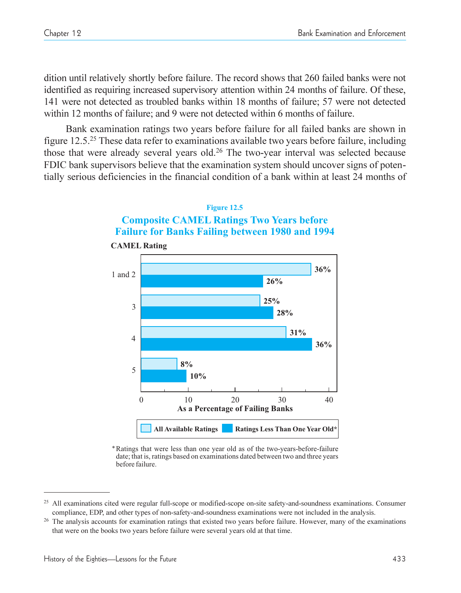dition until relatively shortly before failure. The record shows that 260 failed banks were not identified as requiring increased supervisory attention within 24 months of failure. Of these, 141 were not detected as troubled banks within 18 months of failure; 57 were not detected within 12 months of failure; and 9 were not detected within 6 months of failure.

Bank examination ratings two years before failure for all failed banks are shown in figure 12.5.25 These data refer to examinations available two years before failure, including those that were already several years old.26 The two-year interval was selected because FDIC bank supervisors believe that the examination system should uncover signs of potentially serious deficiencies in the financial condition of a bank within at least 24 months of





**CAMEL Rating**

Ratings that were less than one year old as of the two-years-before-failure \* date; that is, ratings based on examinations dated between two and three years before failure.

<sup>&</sup>lt;sup>25</sup> All examinations cited were regular full-scope or modified-scope on-site safety-and-soundness examinations. Consumer compliance, EDP, and other types of non-safety-and-soundness examinations were not included in the analysis.<br><sup>26</sup> The analysis accounts for examination ratings that existed two years before failure. However, many of the ex

that were on the books two years before failure were several years old at that time.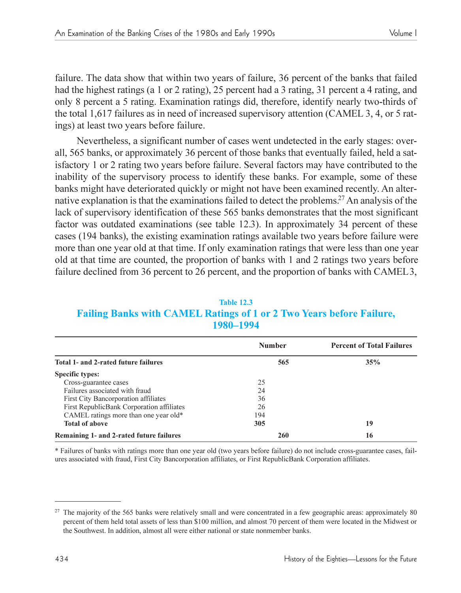failure. The data show that within two years of failure, 36 percent of the banks that failed had the highest ratings (a 1 or 2 rating), 25 percent had a 3 rating, 31 percent a 4 rating, and only 8 percent a 5 rating. Examination ratings did, therefore, identify nearly two-thirds of the total 1,617 failures as in need of increased supervisory attention (CAMEL 3, 4, or 5 ratings) at least two years before failure.

Nevertheless, a significant number of cases went undetected in the early stages: overall, 565 banks, or approximately 36 percent of those banks that eventually failed, held a satisfactory 1 or 2 rating two years before failure. Several factors may have contributed to the inability of the supervisory process to identify these banks. For example, some of these banks might have deteriorated quickly or might not have been examined recently. An alternative explanation is that the examinations failed to detect the problems.27 An analysis of the lack of supervisory identification of these 565 banks demonstrates that the most significant factor was outdated examinations (see table 12.3). In approximately 34 percent of these cases (194 banks), the existing examination ratings available two years before failure were more than one year old at that time. If only examination ratings that were less than one year old at that time are counted, the proportion of banks with 1 and 2 ratings two years before failure declined from 36 percent to 26 percent, and the proportion of banks with CAMEL3,

**Table 12.3 Failing Banks with CAMEL Ratings of 1 or 2 Two Years before Failure, 1980–1994** 

|                                           | <b>Number</b> | <b>Percent of Total Failures</b> |
|-------------------------------------------|---------------|----------------------------------|
| Total 1- and 2-rated future failures      | 565           | 35%                              |
| <b>Specific types:</b>                    |               |                                  |
| Cross-guarantee cases                     | 25            |                                  |
| Failures associated with fraud            | 24            |                                  |
| First City Bancorporation affiliates      | 36            |                                  |
| First RepublicBank Corporation affiliates | 26            |                                  |
| CAMEL ratings more than one year old*     | 194           |                                  |
| <b>Total of above</b>                     | 305           | 19                               |
| Remaining 1- and 2-rated future failures  | 260           | 16                               |

\* Failures of banks with ratings more than one year old (two years before failure) do not include cross-guarantee cases, failures associated with fraud, First City Bancorporation affiliates, or First RepublicBank Corporation affiliates.

<sup>&</sup>lt;sup>27</sup> The majority of the 565 banks were relatively small and were concentrated in a few geographic areas: approximately 80 percent of them held total assets of less than \$100 million, and almost 70 percent of them were located in the Midwest or the Southwest. In addition, almost all were either national or state nonmember banks.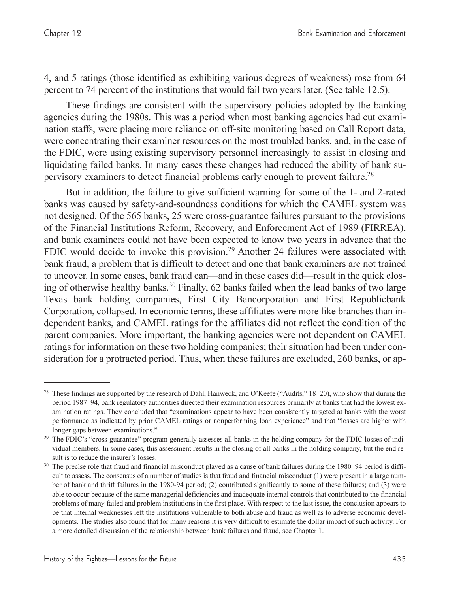4, and 5 ratings (those identified as exhibiting various degrees of weakness) rose from 64 percent to 74 percent of the institutions that would fail two years later. (See table 12.5).

These findings are consistent with the supervisory policies adopted by the banking agencies during the 1980s. This was a period when most banking agencies had cut examination staffs, were placing more reliance on off-site monitoring based on Call Report data, were concentrating their examiner resources on the most troubled banks, and, in the case of the FDIC, were using existing supervisory personnel increasingly to assist in closing and liquidating failed banks. In many cases these changes had reduced the ability of bank supervisory examiners to detect financial problems early enough to prevent failure.<sup>28</sup>

But in addition, the failure to give sufficient warning for some of the 1- and 2-rated banks was caused by safety-and-soundness conditions for which the CAMEL system was not designed. Of the 565 banks, 25 were cross-guarantee failures pursuant to the provisions of the Financial Institutions Reform, Recovery, and Enforcement Act of 1989 (FIRREA), and bank examiners could not have been expected to know two years in advance that the FDIC would decide to invoke this provision.29 Another 24 failures were associated with bank fraud, a problem that is difficult to detect and one that bank examiners are not trained to uncover. In some cases, bank fraud can—and in these cases did—result in the quick closing of otherwise healthy banks.<sup>30</sup> Finally, 62 banks failed when the lead banks of two large Texas bank holding companies, First City Bancorporation and First Republicbank Corporation, collapsed. In economic terms, these affiliates were more like branches than independent banks, and CAMEL ratings for the affiliates did not reflect the condition of the parent companies. More important, the banking agencies were not dependent on CAMEL ratings for information on these two holding companies; their situation had been under consideration for a protracted period. Thus, when these failures are excluded, 260 banks, or ap-

<sup>&</sup>lt;sup>28</sup> These findings are supported by the research of Dahl, Hanweck, and O'Keefe ("Audits,"  $18-20$ ), who show that during the period 1987–94, bank regulatory authorities directed their examination resources primarily at banks that had the lowest examination ratings. They concluded that "examinations appear to have been consistently targeted at banks with the worst performance as indicated by prior CAMEL ratings or nonperforming loan experience" and that "losses are higher with longer gaps between examinations."

<sup>&</sup>lt;sup>29</sup> The FDIC's "cross-guarantee" program generally assesses all banks in the holding company for the FDIC losses of individual members. In some cases, this assessment results in the closing of all banks in the holding company, but the end result is to reduce the insurer's losses.<br><sup>30</sup> The precise role that fraud and financial misconduct played as a cause of bank failures during the 1980–94 period is diffi-

cult to assess. The consensus of a number of studies is that fraud and financial misconduct (1) were present in a large number of bank and thrift failures in the 1980-94 period; (2) contributed significantly to some of these failures; and (3) were able to occur because of the same managerial deficiencies and inadequate internal controls that contributed to the financial problems of many failed and problem institutions in the first place. With respect to the last issue, the conclusion appears to be that internal weaknesses left the institutions vulnerable to both abuse and fraud as well as to adverse economic developments. The studies also found that for many reasons it is very difficult to estimate the dollar impact of such activity. For a more detailed discussion of the relationship between bank failures and fraud, see Chapter 1.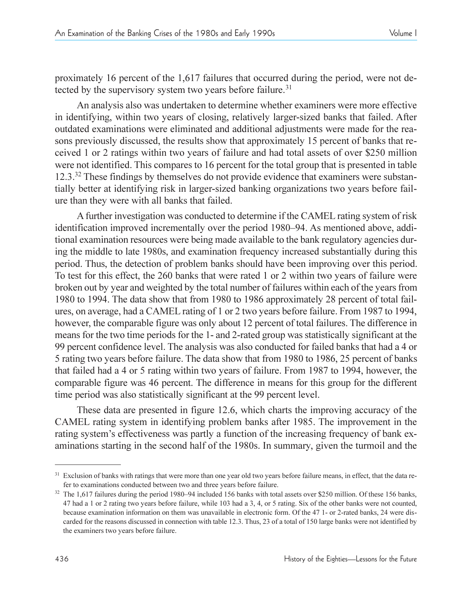proximately 16 percent of the 1,617 failures that occurred during the period, were not detected by the supervisory system two years before failure.<sup>31</sup>

An analysis also was undertaken to determine whether examiners were more effective in identifying, within two years of closing, relatively larger-sized banks that failed. After outdated examinations were eliminated and additional adjustments were made for the reasons previously discussed, the results show that approximately 15 percent of banks that received 1 or 2 ratings within two years of failure and had total assets of over \$250 million were not identified. This compares to 16 percent for the total group that is presented in table 12.3.<sup>32</sup> These findings by themselves do not provide evidence that examiners were substantially better at identifying risk in larger-sized banking organizations two years before failure than they were with all banks that failed.

Afurther investigation was conducted to determine if the CAMEL rating system of risk identification improved incrementally over the period 1980–94. As mentioned above, additional examination resources were being made available to the bank regulatory agencies during the middle to late 1980s, and examination frequency increased substantially during this period. Thus, the detection of problem banks should have been improving over this period. To test for this effect, the 260 banks that were rated 1 or 2 within two years of failure were broken out by year and weighted by the total number of failures within each of the years from 1980 to 1994. The data show that from 1980 to 1986 approximately 28 percent of total failures, on average, had a CAMEL rating of 1 or 2 two years before failure. From 1987 to 1994, however, the comparable figure was only about 12 percent of total failures. The difference in means for the two time periods for the 1- and 2-rated group was statistically significant at the 99 percent confidence level. The analysis was also conducted for failed banks that had a 4 or 5 rating two years before failure. The data show that from 1980 to 1986, 25 percent of banks that failed had a 4 or 5 rating within two years of failure. From 1987 to 1994, however, the comparable figure was 46 percent. The difference in means for this group for the different time period was also statistically significant at the 99 percent level.

These data are presented in figure 12.6, which charts the improving accuracy of the CAMEL rating system in identifying problem banks after 1985. The improvement in the rating system's effectiveness was partly a function of the increasing frequency of bank examinations starting in the second half of the 1980s. In summary, given the turmoil and the

<sup>&</sup>lt;sup>31</sup> Exclusion of banks with ratings that were more than one year old two years before failure means, in effect, that the data refer to examinations conducted between two and three years before failure.

 $32$  The 1,617 failures during the period 1980–94 included 156 banks with total assets over \$250 million. Of these 156 banks, 47 had a 1 or 2 rating two years before failure, while 103 had a 3, 4, or 5 rating. Six of the other banks were not counted, because examination information on them was unavailable in electronic form. Of the 47 1- or 2-rated banks, 24 were discarded for the reasons discussed in connection with table 12.3. Thus, 23 of a total of 150 large banks were not identified by the examiners two years before failure.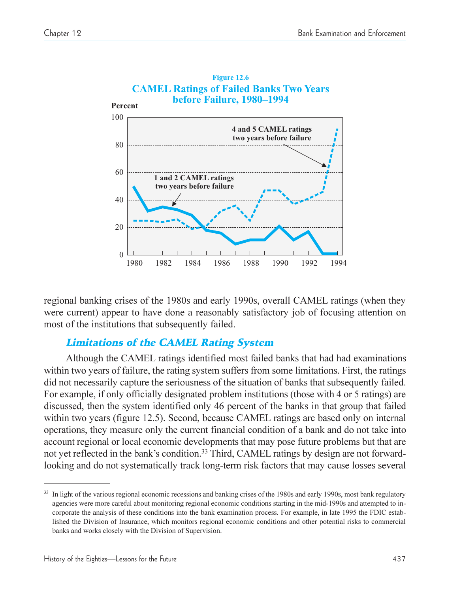

regional banking crises of the 1980s and early 1990s, overall CAMEL ratings (when they were current) appear to have done a reasonably satisfactory job of focusing attention on most of the institutions that subsequently failed.

## Limitations of the CAMEL Rating System

Although the CAMEL ratings identified most failed banks that had had examinations within two years of failure, the rating system suffers from some limitations. First, the ratings did not necessarily capture the seriousness of the situation of banks that subsequently failed. For example, if only officially designated problem institutions (those with 4 or 5 ratings) are discussed, then the system identified only 46 percent of the banks in that group that failed within two years (figure 12.5). Second, because CAMEL ratings are based only on internal operations, they measure only the current financial condition of a bank and do not take into account regional or local economic developments that may pose future problems but that are not yet reflected in the bank's condition.<sup>33</sup> Third, CAMEL ratings by design are not forwardlooking and do not systematically track long-term risk factors that may cause losses several

<sup>&</sup>lt;sup>33</sup> In light of the various regional economic recessions and banking crises of the 1980s and early 1990s, most bank regulatory agencies were more careful about monitoring regional economic conditions starting in the mid-1990s and attempted to incorporate the analysis of these conditions into the bank examination process. For example, in late 1995 the FDIC established the Division of Insurance, which monitors regional economic conditions and other potential risks to commercial banks and works closely with the Division of Supervision.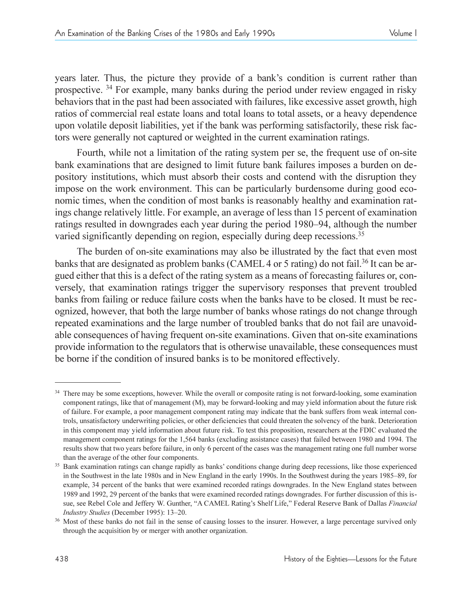years later. Thus, the picture they provide of a bank's condition is current rather than prospective. 34 For example, many banks during the period under review engaged in risky behaviors that in the past had been associated with failures, like excessive asset growth, high ratios of commercial real estate loans and total loans to total assets, or a heavy dependence upon volatile deposit liabilities, yet if the bank was performing satisfactorily, these risk factors were generally not captured or weighted in the current examination ratings.

Fourth, while not a limitation of the rating system per se, the frequent use of on-site bank examinations that are designed to limit future bank failures imposes a burden on depository institutions, which must absorb their costs and contend with the disruption they impose on the work environment. This can be particularly burdensome during good economic times, when the condition of most banks is reasonably healthy and examination ratings change relatively little. For example, an average of less than 15 percent of examination ratings resulted in downgrades each year during the period 1980–94, although the number varied significantly depending on region, especially during deep recessions.<sup>35</sup>

The burden of on-site examinations may also be illustrated by the fact that even most banks that are designated as problem banks (CAMEL 4 or 5 rating) do not fail.<sup>36</sup> It can be argued either that this is a defect of the rating system as a means of forecasting failures or, conversely, that examination ratings trigger the supervisory responses that prevent troubled banks from failing or reduce failure costs when the banks have to be closed. It must be recognized, however, that both the large number of banks whose ratings do not change through repeated examinations and the large number of troubled banks that do not fail are unavoidable consequences of having frequent on-site examinations. Given that on-site examinations provide information to the regulators that is otherwise unavailable, these consequences must be borne if the condition of insured banks is to be monitored effectively.

<sup>&</sup>lt;sup>34</sup> There may be some exceptions, however. While the overall or composite rating is not forward-looking, some examination component ratings, like that of management (M), may be forward-looking and may yield information about the future risk of failure. For example, a poor management component rating may indicate that the bank suffers from weak internal controls, unsatisfactory underwriting policies, or other deficiencies that could threaten the solvency of the bank. Deterioration in this component may yield information about future risk. To test this proposition, researchers at the FDIC evaluated the management component ratings for the 1,564 banks (excluding assistance cases) that failed between 1980 and 1994. The results show that two years before failure, in only 6 percent of the cases was the management rating one full number worse than the average of the other four components.

<sup>&</sup>lt;sup>35</sup> Bank examination ratings can change rapidly as banks' conditions change during deep recessions, like those experienced in the Southwest in the late 1980s and in New England in the early 1990s. In the Southwest during the years 1985–89, for example, 34 percent of the banks that were examined recorded ratings downgrades. In the New England states between 1989 and 1992, 29 percent of the banks that were examined recorded ratings downgrades. For further discussion of this issue, see Rebel Cole and Jeffery W. Gunther, "A CAMEL Rating's Shelf Life," Federal Reserve Bank of Dallas *Financial* 

*Industry Studies* (December 1995): 13–20.<br><sup>36</sup> Most of these banks do not fail in the sense of causing losses to the insurer. However, a large percentage survived only through the acquisition by or merger with another organization.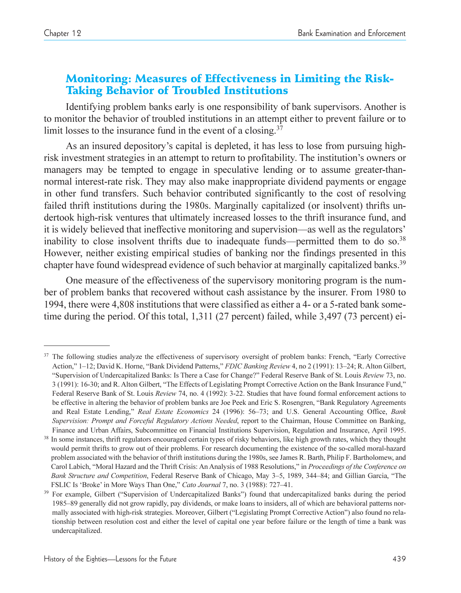## Monitoring: Measures of Effectiveness in Limiting the Risk-Taking Behavior of Troubled Institutions

Identifying problem banks early is one responsibility of bank supervisors. Another is to monitor the behavior of troubled institutions in an attempt either to prevent failure or to limit losses to the insurance fund in the event of a closing.<sup>37</sup>

As an insured depository's capital is depleted, it has less to lose from pursuing highrisk investment strategies in an attempt to return to profitability. The institution's owners or managers may be tempted to engage in speculative lending or to assume greater-thannormal interest-rate risk. They may also make inappropriate dividend payments or engage in other fund transfers. Such behavior contributed significantly to the cost of resolving failed thrift institutions during the 1980s. Marginally capitalized (or insolvent) thrifts undertook high-risk ventures that ultimately increased losses to the thrift insurance fund, and it is widely believed that ineffective monitoring and supervision—as well as the regulators' inability to close insolvent thrifts due to inadequate funds—permitted them to do so. $38$ However, neither existing empirical studies of banking nor the findings presented in this chapter have found widespread evidence of such behavior at marginally capitalized banks.<sup>39</sup>

One measure of the effectiveness of the supervisory monitoring program is the number of problem banks that recovered without cash assistance by the insurer. From 1980 to 1994, there were 4,808 institutions that were classified as either a 4- or a 5-rated bank sometime during the period. Of this total, 1,311 (27 percent) failed, while 3,497 (73 percent) ei-

<sup>&</sup>lt;sup>37</sup> The following studies analyze the effectiveness of supervisory oversight of problem banks: French, "Early Corrective Action," 1-12; David K. Horne, "Bank Dividend Patterns," FDIC Banking Review 4, no 2 (1991): 13-24; R. Alton Gilbert, Supervision of Undercapitalized Banks: Is There a Case for Change? Federal Reserve Bank of St. Louis *Review* 73, no. 3 (1991): 16-30; and R. Alton Gilbert, "The Effects of Legislating Prompt Corrective Action on the Bank Insurance Fund," Federal Reserve Bank of St. Louis *Review* 74, no. 4 (1992): 3-22. Studies that have found formal enforcement actions to be effective in altering the behavior of problem banks are Joe Peek and Eric S. Rosengren, "Bank Regulatory Agreements and Real Estate Lending," Real Estate Economics 24 (1996): 56-73; and U.S. General Accounting Office, *Bank Supervision: Prompt and Forceful Regulatory Actions Needed*, report to the Chairman, House Committee on Banking, Finance and Urban Affairs, Subcommittee on Financial Institutions Supervision, Regulation and Insurance, April 1995.

<sup>&</sup>lt;sup>38</sup> In some instances, thrift regulators encouraged certain types of risky behaviors, like high growth rates, which they thought would permit thrifts to grow out of their problems. For research documenting the existence of the so-called moral-hazard problem associated with the behavior of thrift institutions during the 1980s, see James R. Barth, Philip F. Bartholomew, and Carol Labich, Moral Hazard and the Thrift Crisis: An Analysis of 1988 Resolutions, in *Proceedings of the Conference on Bank Structure and Competition*, Federal Reserve Bank of Chicago, May 3–5, 1989, 344–84; and Gillian Garcia, "The FSLIC Is 'Broke' in More Ways Than One," Cato Journal 7, no. 3 (1988): 727-41.

<sup>&</sup>lt;sup>39</sup> For example, Gilbert ("Supervision of Undercapitalized Banks") found that undercapitalized banks during the period 1985–89 generally did not grow rapidly, pay dividends, or make loans to insiders, all of which are behavioral patterns normally associated with high-risk strategies. Moreover, Gilbert ("Legislating Prompt Corrective Action") also found no relationship between resolution cost and either the level of capital one year before failure or the length of time a bank was undercapitalized.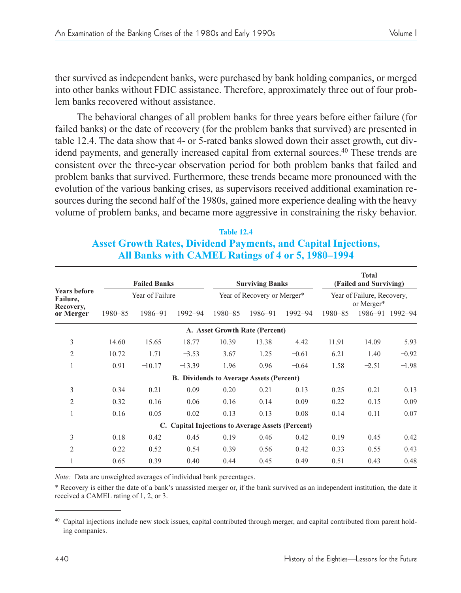ther survived as independent banks, were purchased by bank holding companies, or merged into other banks without FDIC assistance. Therefore, approximately three out of four problem banks recovered without assistance.

The behavioral changes of all problem banks for three years before either failure (for failed banks) or the date of recovery (for the problem banks that survived) are presented in table 12.4. The data show that 4- or 5-rated banks slowed down their asset growth, cut dividend payments, and generally increased capital from external sources.40 These trends are consistent over the three-year observation period for both problem banks that failed and problem banks that survived. Furthermore, these trends became more pronounced with the evolution of the various banking crises, as supervisors received additional examination resources during the second half of the 1980s, gained more experience dealing with the heavy volume of problem banks, and became more aggressive in constraining the risky behavior.

#### **Table 12.4 Asset Growth Rates, Dividend Payments, and Capital Injections, All Banks with CAMEL Ratings of 4 or 5, 1980-1994**

|                                              |                 | <b>Failed Banks</b> |          |                                                   | <b>Surviving Banks</b> |         |                                          | <b>Total</b><br>(Failed and Surviving) |         |
|----------------------------------------------|-----------------|---------------------|----------|---------------------------------------------------|------------------------|---------|------------------------------------------|----------------------------------------|---------|
| <b>Years before</b><br>Failure,<br>Recovery, | Year of Failure |                     |          | Year of Recovery or Merger*                       |                        |         | Year of Failure, Recovery,<br>or Merger* |                                        |         |
| or Merger                                    | 1980-85         | 1986-91             | 1992-94  | 1980-85                                           | 1986-91                | 1992-94 | 1980-85                                  | 1986-91                                | 1992-94 |
|                                              |                 |                     |          | A. Asset Growth Rate (Percent)                    |                        |         |                                          |                                        |         |
| 3                                            | 14.60           | 15.65               | 18.77    | 10.39                                             | 13.38                  | 4.42    | 11.91                                    | 14.09                                  | 5.93    |
| 2                                            | 10.72           | 1.71                | $-3.53$  | 3.67                                              | 1.25                   | $-0.61$ | 6.21                                     | 1.40                                   | $-0.92$ |
| 1                                            | 0.91            | $-10.17$            | $-13.39$ | 1.96                                              | 0.96                   | $-0.64$ | 1.58                                     | $-2.51$                                | $-1.98$ |
|                                              |                 |                     |          | <b>B.</b> Dividends to Average Assets (Percent)   |                        |         |                                          |                                        |         |
| 3                                            | 0.34            | 0.21                | 0.09     | 0.20                                              | 0.21                   | 0.13    | 0.25                                     | 0.21                                   | 0.13    |
| $\overline{2}$                               | 0.32            | 0.16                | 0.06     | 0.16                                              | 0.14                   | 0.09    | 0.22                                     | 0.15                                   | 0.09    |
| $\mathbf{1}$                                 | 0.16            | 0.05                | 0.02     | 0.13                                              | 0.13                   | 0.08    | 0.14                                     | 0.11                                   | 0.07    |
|                                              |                 |                     |          | C. Capital Injections to Average Assets (Percent) |                        |         |                                          |                                        |         |
| 3                                            | 0.18            | 0.42                | 0.45     | 0.19                                              | 0.46                   | 0.42    | 0.19                                     | 0.45                                   | 0.42    |
| 2                                            | 0.22            | 0.52                | 0.54     | 0.39                                              | 0.56                   | 0.42    | 0.33                                     | 0.55                                   | 0.43    |
|                                              | 0.65            | 0.39                | 0.40     | 0.44                                              | 0.45                   | 0.49    | 0.51                                     | 0.43                                   | 0.48    |

*Note:* Data are unweighted averages of individual bank percentages.

\* Recovery is either the date of a bank's unassisted merger or, if the bank survived as an independent institution, the date it received a CAMEL rating of 1, 2, or 3.

<sup>&</sup>lt;sup>40</sup> Capital injections include new stock issues, capital contributed through merger, and capital contributed from parent holding companies.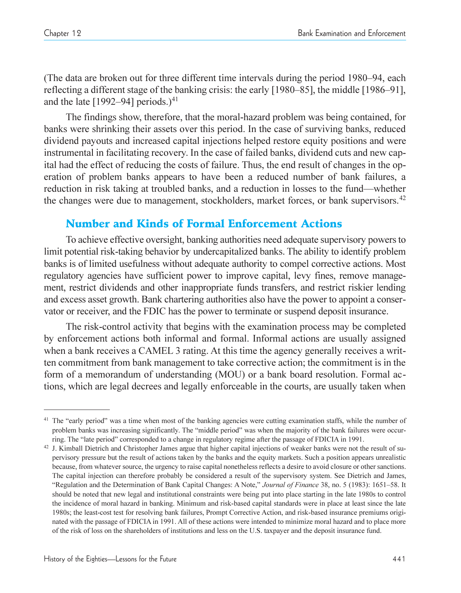(The data are broken out for three different time intervals during the period 1980–94, each reflecting a different stage of the banking crisis: the early  $[1980-85]$ , the middle  $[1986-91]$ , and the late  $[1992-94]$  periods.)<sup>41</sup>

The findings show, therefore, that the moral-hazard problem was being contained, for banks were shrinking their assets over this period. In the case of surviving banks, reduced dividend payouts and increased capital injections helped restore equity positions and were instrumental in facilitating recovery. In the case of failed banks, dividend cuts and new capital had the effect of reducing the costs of failure. Thus, the end result of changes in the operation of problem banks appears to have been a reduced number of bank failures, a reduction in risk taking at troubled banks, and a reduction in losses to the fund—whether the changes were due to management, stockholders, market forces, or bank supervisors.<sup>42</sup>

## Number and Kinds of Formal Enforcement Actions

To achieve effective oversight, banking authorities need adequate supervisory powers to limit potential risk-taking behavior by undercapitalized banks. The ability to identify problem banks is of limited usefulness without adequate authority to compel corrective actions. Most regulatory agencies have sufficient power to improve capital, levy fines, remove management, restrict dividends and other inappropriate funds transfers, and restrict riskier lending and excess asset growth. Bank chartering authorities also have the power to appoint a conservator or receiver, and the FDIC has the power to terminate or suspend deposit insurance.

The risk-control activity that begins with the examination process may be completed by enforcement actions both informal and formal. Informal actions are usually assigned when a bank receives a CAMEL 3 rating. At this time the agency generally receives a written commitment from bank management to take corrective action; the commitment is in the form of a memorandum of understanding (MOU) or a bank board resolution. Formal actions, which are legal decrees and legally enforceable in the courts, are usually taken when

 $41$  The "early period" was a time when most of the banking agencies were cutting examination staffs, while the number of problem banks was increasing significantly. The "middle period" was when the majority of the bank failures were occur-

ring. The "late period" corresponded to a change in regulatory regime after the passage of FDICIA in 1991.<br><sup>42</sup> J. Kimball Dietrich and Christopher James argue that higher capital injections of weaker banks were not the re pervisory pressure but the result of actions taken by the banks and the equity markets. Such a position appears unrealistic because, from whatever source, the urgency to raise capital nonetheless reflects a desire to avoid closure or other sanctions. The capital injection can therefore probably be considered a result of the supervisory system. See Dietrich and James, "Regulation and the Determination of Bank Capital Changes: A Note," Journal of Finance 38, no. 5 (1983): 1651-58. It should be noted that new legal and institutional constraints were being put into place starting in the late 1980s to control the incidence of moral hazard in banking. Minimum and risk-based capital standards were in place at least since the late 1980s; the least-cost test for resolving bank failures, Prompt Corrective Action, and risk-based insurance premiums originated with the passage of FDICIA in 1991. All of these actions were intended to minimize moral hazard and to place more of the risk of loss on the shareholders of institutions and less on the U.S. taxpayer and the deposit insurance fund.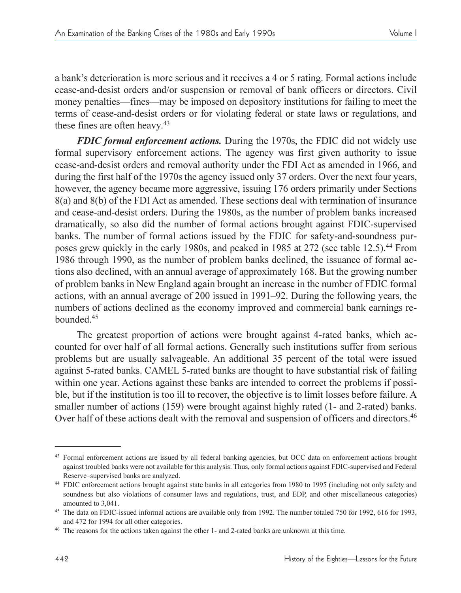a bank's deterioration is more serious and it receives a 4 or 5 rating. Formal actions include cease-and-desist orders and/or suspension or removal of bank officers or directors. Civil money penalties—fines—may be imposed on depository institutions for failing to meet the terms of cease-and-desist orders or for violating federal or state laws or regulations, and these fines are often heavy. 43

*FDIC formal enforcement actions.* During the 1970s, the FDIC did not widely use formal supervisory enforcement actions. The agency was first given authority to issue cease-and-desist orders and removal authority under the FDI Act as amended in 1966, and during the first half of the 1970s the agency issued only 37 orders. Over the next four years, however, the agency became more aggressive, issuing 176 orders primarily under Sections 8(a) and 8(b) of the FDI Act as amended. These sections deal with termination of insurance and cease-and-desist orders. During the 1980s, as the number of problem banks increased dramatically, so also did the number of formal actions brought against FDIC-supervised banks. The number of formal actions issued by the FDIC for safety-and-soundness purposes grew quickly in the early 1980s, and peaked in 1985 at 272 (see table 12.5).44 From 1986 through 1990, as the number of problem banks declined, the issuance of formal actions also declined, with an annual average of approximately 168. But the growing number of problem banks in New England again brought an increase in the number of FDIC formal actions, with an annual average of 200 issued in 1991–92. During the following years, the numbers of actions declined as the economy improved and commercial bank earnings rebounded.45

The greatest proportion of actions were brought against 4-rated banks, which accounted for over half of all formal actions. Generally such institutions suffer from serious problems but are usually salvageable. An additional 35 percent of the total were issued against 5-rated banks. CAMEL 5-rated banks are thought to have substantial risk of failing within one year. Actions against these banks are intended to correct the problems if possible, but if the institution is too ill to recover, the objective is to limit losses before failure. A smaller number of actions (159) were brought against highly rated (1- and 2-rated) banks. Over half of these actions dealt with the removal and suspension of officers and directors.<sup>46</sup>

<sup>43</sup> Formal enforcement actions are issued by all federal banking agencies, but OCC data on enforcement actions brought against troubled banks were not available for this analysis. Thus, only formal actions against FDIC-supervised and Federal Reserve-supervised banks are analyzed.

<sup>44</sup> FDIC enforcement actions brought against state banks in all categories from 1980 to 1995 (including not only safety and soundness but also violations of consumer laws and regulations, trust, and EDP, and other miscellaneous categories) amounted to 3,041.

<sup>45</sup> The data on FDIC-issued informal actions are available only from 1992. The number totaled 750 for 1992, 616 for 1993,

and 472 for 1994 for all other categories.<br><sup>46</sup> The reasons for the actions taken against the other 1- and 2-rated banks are unknown at this time.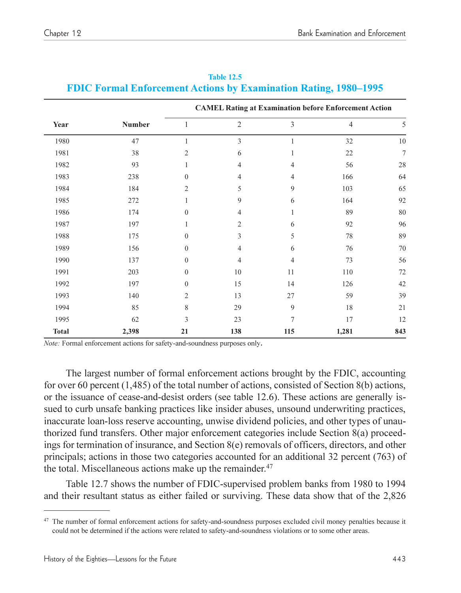|              |               | <b>CAMEL Rating at Examination before Enforcement Action</b> |                |     |                |                |  |
|--------------|---------------|--------------------------------------------------------------|----------------|-----|----------------|----------------|--|
| Year         | <b>Number</b> | 1                                                            | $\mathfrak{2}$ | 3   | $\overline{4}$ | 5              |  |
| 1980         | 47            | 1                                                            | 3              | 1   | 32             | 10             |  |
| 1981         | 38            | $\overline{c}$                                               | 6              | 1   | 22             | $\overline{7}$ |  |
| 1982         | 93            | 1                                                            | $\overline{4}$ | 4   | 56             | 28             |  |
| 1983         | 238           | $\mathbf{0}$                                                 | $\overline{4}$ | 4   | 166            | 64             |  |
| 1984         | 184           | $\overline{c}$                                               | 5              | 9   | 103            | 65             |  |
| 1985         | 272           | 1                                                            | 9              | 6   | 164            | 92             |  |
| 1986         | 174           | $\theta$                                                     | $\overline{4}$ |     | 89             | $80\,$         |  |
| 1987         | 197           | 1                                                            | 2              | 6   | 92             | 96             |  |
| 1988         | 175           | $\overline{0}$                                               | 3              | 5   | 78             | 89             |  |
| 1989         | 156           | $\mathbf{0}$                                                 | $\overline{4}$ | 6   | 76             | 70             |  |
| 1990         | 137           | $\mathbf{0}$                                                 | $\overline{4}$ | 4   | 73             | 56             |  |
| 1991         | 203           | $\mathbf{0}$                                                 | 10             | 11  | 110            | $72\,$         |  |
| 1992         | 197           | $\mathbf{0}$                                                 | 15             | 14  | 126            | 42             |  |
| 1993         | 140           | $\overline{c}$                                               | 13             | 27  | 59             | 39             |  |
| 1994         | 85            | 8                                                            | 29             | 9   | 18             | 21             |  |
| 1995         | 62            | 3                                                            | 23             | 7   | 17             | 12             |  |
| <b>Total</b> | 2,398         | 21                                                           | 138            | 115 | 1,281          | 843            |  |

**Table 12.5 FDIC Formal Enforcement Actions by Examination Rating, 1980–1995** 

*Note:* Formal enforcement actions for safety-and-soundness purposes only**.**

The largest number of formal enforcement actions brought by the FDIC, accounting for over 60 percent (1,485) of the total number of actions, consisted of Section 8(b) actions, or the issuance of cease-and-desist orders (see table 12.6). These actions are generally issued to curb unsafe banking practices like insider abuses, unsound underwriting practices, inaccurate loan-loss reserve accounting, unwise dividend policies, and other types of unauthorized fund transfers. Other major enforcement categories include Section 8(a) proceedings for termination of insurance, and Section  $8(e)$  removals of officers, directors, and other principals; actions in those two categories accounted for an additional 32 percent (763) of the total. Miscellaneous actions make up the remainder.<sup>47</sup>

Table 12.7 shows the number of FDIC-supervised problem banks from 1980 to 1994 and their resultant status as either failed or surviving. These data show that of the 2,826

<sup>&</sup>lt;sup>47</sup> The number of formal enforcement actions for safety-and-soundness purposes excluded civil money penalties because it could not be determined if the actions were related to safety-and-soundness violations or to some other areas.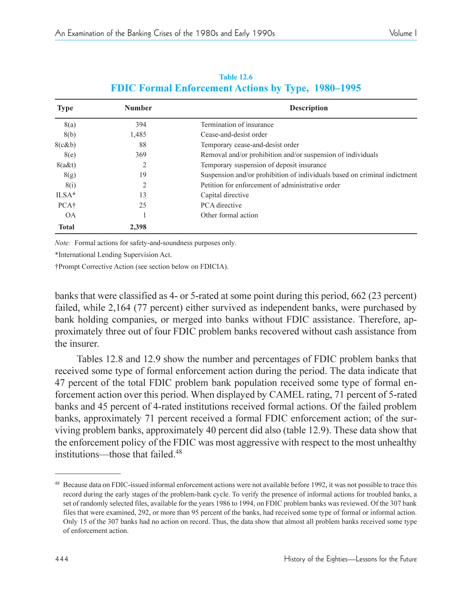| FDIC FOLMAL EMOTCEMENT ACHORS BY TYPE, 1980–1995 |               |                                                                           |  |  |  |
|--------------------------------------------------|---------------|---------------------------------------------------------------------------|--|--|--|
| <b>Type</b>                                      | <b>Number</b> | <b>Description</b>                                                        |  |  |  |
| 8(a)                                             | 394           | Termination of insurance                                                  |  |  |  |
| 8(b)                                             | 1,485         | Cease-and-desist order                                                    |  |  |  |
| 8(c&b)                                           | 88            | Temporary cease-and-desist order                                          |  |  |  |
| 8(e)                                             | 369           | Removal and/or prohibition and/or suspension of individuals               |  |  |  |
| $8(a\&t)$                                        |               | Temporary suspension of deposit insurance                                 |  |  |  |
| 8(g)                                             | 19            | Suspension and/or prohibition of individuals based on criminal indictment |  |  |  |
| 8(i)                                             | 2             | Petition for enforcement of administrative order                          |  |  |  |
| $ILSA*$                                          | 13            | Capital directive                                                         |  |  |  |
| PCA <sup>+</sup>                                 | 25            | PCA directive                                                             |  |  |  |
| 0A                                               |               | Other formal action                                                       |  |  |  |
| <b>Total</b>                                     | 2,398         |                                                                           |  |  |  |

#### **Table 12.6 FDIC Formal Enforcement Actions by Type, 1000 1005**

*Note:* Formal actions for safety-and-soundness purposes only.

\*International Lending Supervision Act.

Prompt Corrective Action (see section below on FDICIA).

banks that were classified as 4- or 5-rated at some point during this period, 662 (23 percent) failed, while 2,164 (77 percent) either survived as independent banks, were purchased by bank holding companies, or merged into banks without FDIC assistance. Therefore, approximately three out of four FDIC problem banks recovered without cash assistance from the insurer.

Tables 12.8 and 12.9 show the number and percentages of FDIC problem banks that received some type of formal enforcement action during the period. The data indicate that 47 percent of the total FDIC problem bank population received some type of formal enforcement action over this period. When displayed by CAMEL rating, 71 percent of 5-rated banks and 45 percent of 4-rated institutions received formal actions. Of the failed problem banks, approximately 71 percent received a formal FDIC enforcement action; of the surviving problem banks, approximately 40 percent did also (table 12.9). These data show that the enforcement policy of the FDIC was most aggressive with respect to the most unhealthy institutions—those that failed. $48$ 

<sup>48</sup> Because data on FDIC-issued informal enforcement actions were not available before 1992, it was not possible to trace this record during the early stages of the problem-bank cycle. To verify the presence of informal actions for troubled banks, a set of randomly selected files, available for the years 1986 to 1994, on FDIC problem banks was reviewed. Of the 307 bank files that were examined, 292, or more than 95 percent of the banks, had received some type of formal or informal action. Only 15 of the 307 banks had no action on record. Thus, the data show that almost all problem banks received some type of enforcement action.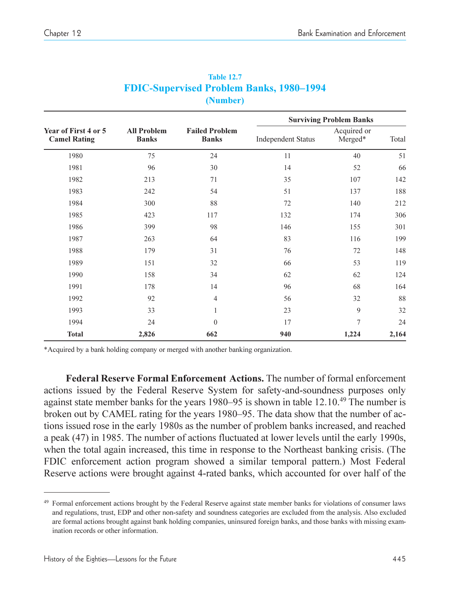|                                             |                                    |                                       | <b>Surviving Problem Banks</b> |                        |       |  |
|---------------------------------------------|------------------------------------|---------------------------------------|--------------------------------|------------------------|-------|--|
| Year of First 4 or 5<br><b>Camel Rating</b> | <b>All Problem</b><br><b>Banks</b> | <b>Failed Problem</b><br><b>Banks</b> | <b>Independent Status</b>      | Acquired or<br>Merged* | Total |  |
| 1980                                        | 75                                 | 24                                    | 11                             | 40                     | 51    |  |
| 1981                                        | 96                                 | 30                                    | 14                             | 52                     | 66    |  |
| 1982                                        | 213                                | 71                                    | 35                             | 107                    | 142   |  |
| 1983                                        | 242                                | 54                                    | 51                             | 137                    | 188   |  |
| 1984                                        | 300                                | 88                                    | 72                             | 140                    | 212   |  |
| 1985                                        | 423                                | 117                                   | 132                            | 174                    | 306   |  |
| 1986                                        | 399                                | 98                                    | 146                            | 155                    | 301   |  |
| 1987                                        | 263                                | 64                                    | 83                             | 116                    | 199   |  |
| 1988                                        | 179                                | 31                                    | 76                             | 72                     | 148   |  |
| 1989                                        | 151                                | 32                                    | 66                             | 53                     | 119   |  |
| 1990                                        | 158                                | 34                                    | 62                             | 62                     | 124   |  |
| 1991                                        | 178                                | 14                                    | 96                             | 68                     | 164   |  |
| 1992                                        | 92                                 | $\overline{4}$                        | 56                             | 32                     | 88    |  |
| 1993                                        | 33                                 | 1                                     | 23                             | 9                      | 32    |  |
| 1994                                        | 24                                 | $\theta$                              | 17                             | $\overline{7}$         | 24    |  |
| <b>Total</b>                                | 2,826                              | 662                                   | 940                            | 1,224                  | 2,164 |  |

| <b>Table 12.7</b>                               |  |
|-------------------------------------------------|--|
| <b>FDIC-Supervised Problem Banks, 1980–1994</b> |  |
| (Number)                                        |  |

\*Acquired by a bank holding company or merged with another banking organization.

**Federal Reserve Formal Enforcement Actions.** The number of formal enforcement actions issued by the Federal Reserve System for safety-and-soundness purposes only against state member banks for the years  $1980-95$  is shown in table  $12.10^{49}$  The number is broken out by CAMEL rating for the years 1980–95. The data show that the number of actions issued rose in the early 1980s as the number of problem banks increased, and reached a peak (47) in 1985. The number of actions fluctuated at lower levels until the early 1990s, when the total again increased, this time in response to the Northeast banking crisis. (The FDIC enforcement action program showed a similar temporal pattern.) Most Federal Reserve actions were brought against 4-rated banks, which accounted for over half of the

<sup>&</sup>lt;sup>49</sup> Formal enforcement actions brought by the Federal Reserve against state member banks for violations of consumer laws and regulations, trust, EDP and other non-safety and soundness categories are excluded from the analysis. Also excluded are formal actions brought against bank holding companies, uninsured foreign banks, and those banks with missing examination records or other information.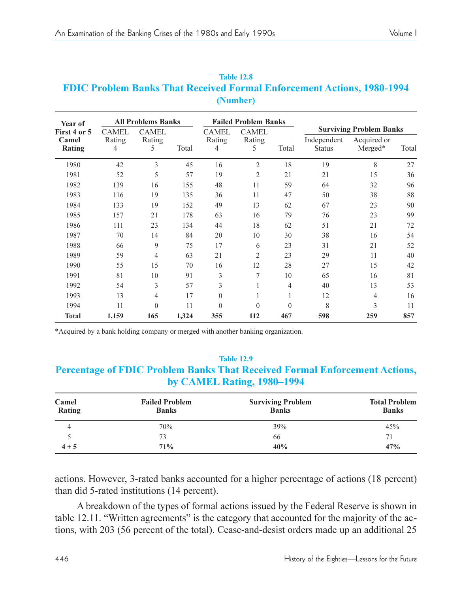## **Table 12.8 FDIC Problem Banks That Received Formal Enforcement Actions, 1980-1994 (Number)**

| Year of                         | <b>All Problems Banks</b>   |                             |       | <b>Failed Problem Banks</b> |                             |          |                              |                                                          |       |
|---------------------------------|-----------------------------|-----------------------------|-------|-----------------------------|-----------------------------|----------|------------------------------|----------------------------------------------------------|-------|
| First 4 or 5<br>Camel<br>Rating | <b>CAMEL</b><br>Rating<br>4 | <b>CAMEL</b><br>Rating<br>5 | Total | <b>CAMEL</b><br>Rating<br>4 | <b>CAMEL</b><br>Rating<br>5 | Total    | Independent<br><b>Status</b> | <b>Surviving Problem Banks</b><br>Acquired or<br>Merged* | Total |
| 1980                            | 42                          | 3                           | 45    | 16                          | 2                           | 18       | 19                           | 8                                                        | 27    |
| 1981                            | 52                          | 5                           | 57    | 19                          | 2                           | 21       | 21                           | 15                                                       | 36    |
| 1982                            | 139                         | 16                          | 155   | 48                          | 11                          | 59       | 64                           | 32                                                       | 96    |
| 1983                            | 116                         | 19                          | 135   | 36                          | 11                          | 47       | 50                           | 38                                                       | 88    |
| 1984                            | 133                         | 19                          | 152   | 49                          | 13                          | 62       | 67                           | 23                                                       | 90    |
| 1985                            | 157                         | 21                          | 178   | 63                          | 16                          | 79       | 76                           | 23                                                       | 99    |
| 1986                            | 111                         | 23                          | 134   | 44                          | 18                          | 62       | 51                           | 21                                                       | 72    |
| 1987                            | 70                          | 14                          | 84    | 20                          | 10                          | 30       | 38                           | 16                                                       | 54    |
| 1988                            | 66                          | 9                           | 75    | 17                          | 6                           | 23       | 31                           | 21                                                       | 52    |
| 1989                            | 59                          | 4                           | 63    | 21                          | $\overline{c}$              | 23       | 29                           | 11                                                       | 40    |
| 1990                            | 55                          | 15                          | 70    | 16                          | 12                          | 28       | 27                           | 15                                                       | 42    |
| 1991                            | 81                          | 10                          | 91    | 3                           | 7                           | 10       | 65                           | 16                                                       | 81    |
| 1992                            | 54                          | 3                           | 57    | 3                           | 1                           | 4        | 40                           | 13                                                       | 53    |
| 1993                            | 13                          | 4                           | 17    | $\mathbf{0}$                |                             | 1        | 12                           | $\overline{4}$                                           | 16    |
| 1994                            | 11                          | $\theta$                    | 11    | $\theta$                    | $\Omega$                    | $\theta$ | 8                            | 3                                                        | 11    |
| <b>Total</b>                    | 1,159                       | 165                         | 1,324 | 355                         | 112                         | 467      | 598                          | 259                                                      | 857   |

\*Acquired by a bank holding company or merged with another banking organization.

## **Table 12.9 Percentage of FDIC Problem Banks That Received Formal Enforcement Actions, by CAMEL Rating, 1980–1994**

| Camel<br>Rating | <b>Failed Problem</b><br><b>Banks</b> | <b>Surviving Problem</b><br><b>Banks</b> | <b>Total Problem</b><br><b>Banks</b> |  |
|-----------------|---------------------------------------|------------------------------------------|--------------------------------------|--|
| 4               | 70%                                   | 39%                                      | 45%                                  |  |
|                 | 73                                    | 66                                       |                                      |  |
| $4 + 5$         | 71%                                   | 40%                                      | 47%                                  |  |

actions. However, 3-rated banks accounted for a higher percentage of actions (18 percent) than did 5-rated institutions (14 percent).

A breakdown of the types of formal actions issued by the Federal Reserve is shown in table  $12.11$ . "Written agreements" is the category that accounted for the majority of the actions, with 203 (56 percent of the total). Cease-and-desist orders made up an additional 25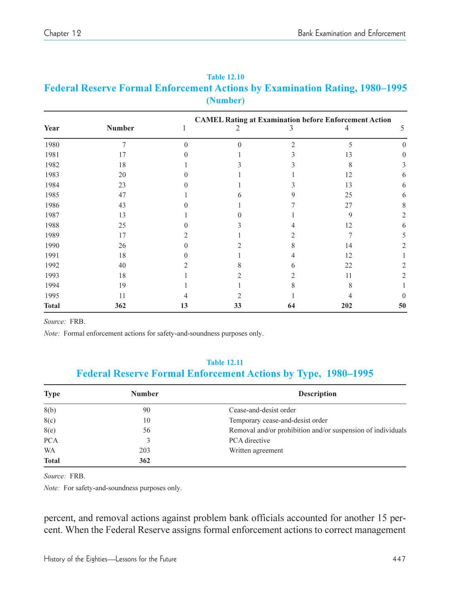| Rock (VI of that Enforcement Actions by Examination Rating) 1900-1990<br>(Number) |               |  |  |  |                                                              |   |  |  |
|-----------------------------------------------------------------------------------|---------------|--|--|--|--------------------------------------------------------------|---|--|--|
| Year                                                                              | <b>Number</b> |  |  |  | <b>CAMEL Rating at Examination before Enforcement Action</b> |   |  |  |
| 1980                                                                              |               |  |  |  |                                                              |   |  |  |
| 1981                                                                              |               |  |  |  |                                                              |   |  |  |
| 1982                                                                              | 18            |  |  |  |                                                              |   |  |  |
| 1983                                                                              | 20            |  |  |  |                                                              | o |  |  |
| 1984                                                                              | 23            |  |  |  | 13                                                           | o |  |  |
| 1985                                                                              | 47            |  |  |  | 25                                                           |   |  |  |
| 1986                                                                              | 43            |  |  |  | 27                                                           |   |  |  |
| 1987                                                                              |               |  |  |  |                                                              |   |  |  |

1988 25 0 3 4 12 6 1989 17 2 1 2 7 5 1990 26 0 2 8 14 2 1991 18 0 1 4 12 1 1992 40 2 8 6 22 2 1993 18 1 2 2 11 2 1994 19 1 1 8 8 1 1995 11 4 2 1 4 0 **Total 362 13 33 64 202 50**

# **Table 12.10 Federal Reserve Formal Enforcement Actions by Examination Rating, 1980–1995**

*Source:* FRB.

*Note:* Formal enforcement actions for safety-and-soundness purposes only.

#### **Table 12.11**

## **Federal Reserve Formal Enforcement Actions by Type, 1980-1995**

| <b>Type</b>  | <b>Number</b> | <b>Description</b>                                          |
|--------------|---------------|-------------------------------------------------------------|
| 8(b)         | 90            | Cease-and-desist order                                      |
| 8(c)         | 10            | Temporary cease-and-desist order                            |
| 8(e)         | 56            | Removal and/or prohibition and/or suspension of individuals |
| <b>PCA</b>   |               | PCA directive                                               |
| WA           | 203           | Written agreement                                           |
| <b>Total</b> | 362           |                                                             |

*Source:* FRB.

*Note:* For safety-and-soundness purposes only.

percent, and removal actions against problem bank officials accounted for another 15 percent. When the Federal Reserve assigns formal enforcement actions to correct management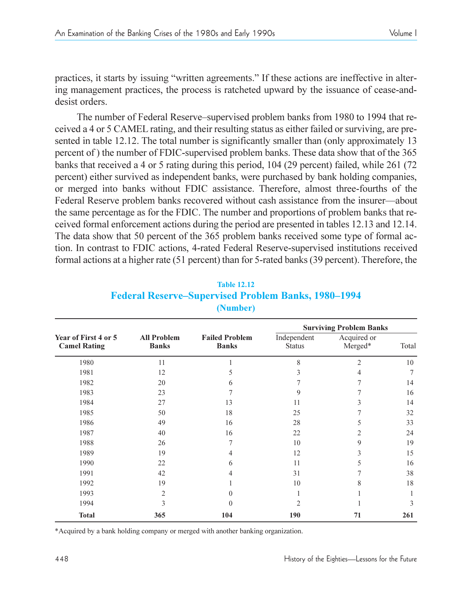practices, it starts by issuing "written agreements." If these actions are ineffective in altering management practices, the process is ratcheted upward by the issuance of cease-anddesist orders.

The number of Federal Reserve-supervised problem banks from 1980 to 1994 that received a 4 or 5 CAMEL rating, and their resulting status as either failed or surviving, are presented in table 12.12. The total number is significantly smaller than (only approximately 13 percent of ) the number of FDIC-supervised problem banks. These data show that of the 365 banks that received a 4 or 5 rating during this period, 104 (29 percent) failed, while 261 (72 percent) either survived as independent banks, were purchased by bank holding companies, or merged into banks without FDIC assistance. Therefore, almost three-fourths of the Federal Reserve problem banks recovered without cash assistance from the insurer—about the same percentage as for the FDIC. The number and proportions of problem banks that received formal enforcement actions during the period are presented in tables 12.13 and 12.14. The data show that 50 percent of the 365 problem banks received some type of formal action. In contrast to FDIC actions, 4-rated Federal Reserve-supervised institutions received formal actions at a higher rate (51 percent) than for 5-rated banks (39 percent). Therefore, the

|                                             |                                    |                                       |                              | <b>Surviving Problem Banks</b> |       |
|---------------------------------------------|------------------------------------|---------------------------------------|------------------------------|--------------------------------|-------|
| Year of First 4 or 5<br><b>Camel Rating</b> | <b>All Problem</b><br><b>Banks</b> | <b>Failed Problem</b><br><b>Banks</b> | Independent<br><b>Status</b> | Acquired or<br>Merged*         | Total |
| 1980                                        | 11                                 | 1                                     | 8                            | $\overline{2}$                 | 10    |
| 1981                                        | 12                                 | 5                                     | 3                            | 4                              | 7     |
| 1982                                        | 20                                 | 6                                     |                              |                                | 14    |
| 1983                                        | 23                                 |                                       | 9                            |                                | 16    |
| 1984                                        | 27                                 | 13                                    | 11                           | 3                              | 14    |
| 1985                                        | 50                                 | 18                                    | 25                           |                                | 32    |
| 1986                                        | 49                                 | 16                                    | 28                           | 5                              | 33    |
| 1987                                        | 40                                 | 16                                    | 22                           | $\overline{c}$                 | 24    |
| 1988                                        | 26                                 | 7                                     | 10                           | 9                              | 19    |
| 1989                                        | 19                                 | 4                                     | 12                           | 3                              | 15    |
| 1990                                        | 22                                 | 6                                     | 11                           | 5                              | 16    |
| 1991                                        | 42                                 | 4                                     | 31                           |                                | 38    |
| 1992                                        | 19                                 |                                       | 10                           | 8                              | 18    |
| 1993                                        | 2                                  | $\Omega$                              |                              |                                |       |
| 1994                                        | 3                                  | $\Omega$                              | $\overline{c}$               |                                | 3     |
| <b>Total</b>                                | 365                                | 104                                   | 190                          | 71                             | 261   |

## **Table 12.12 Federal Reserve–Supervised Problem Banks, 1980–1994 (Number)**

\*Acquired by a bank holding company or merged with another banking organization.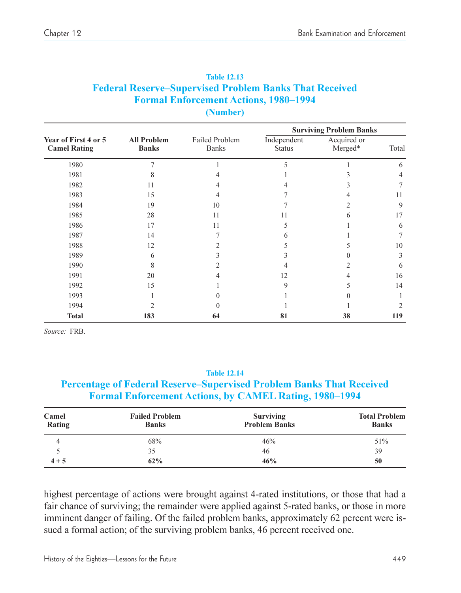|                                             |                                    |                                |                              | <b>Surviving Problem Banks</b> |       |
|---------------------------------------------|------------------------------------|--------------------------------|------------------------------|--------------------------------|-------|
| Year of First 4 or 5<br><b>Camel Rating</b> | <b>All Problem</b><br><b>Banks</b> | Failed Problem<br><b>Banks</b> | Independent<br><b>Status</b> | Acquired or<br>Merged*         | Total |
| 1980                                        |                                    |                                | 5                            |                                | 6     |
| 1981                                        | 8                                  |                                |                              |                                | 4     |
| 1982                                        | 11                                 |                                |                              | 3                              |       |
| 1983                                        | 15                                 |                                |                              |                                | 11    |
| 1984                                        | 19                                 | 10                             |                              |                                | 9     |
| 1985                                        | 28                                 | 11                             | 11                           | 6                              | 17    |
| 1986                                        | 17                                 | 11                             | 5                            |                                | 6     |
| 1987                                        | 14                                 |                                | 6                            |                                |       |
| 1988                                        | 12                                 |                                |                              |                                | 10    |
| 1989                                        | 6                                  |                                |                              |                                | 3     |
| 1990                                        | 8                                  |                                |                              |                                | 6     |
| 1991                                        | 20                                 |                                | 12                           |                                | 16    |
| 1992                                        | 15                                 |                                | 9                            |                                | 14    |
| 1993                                        |                                    |                                |                              |                                |       |
| 1994                                        | 2                                  |                                |                              |                                |       |
| <b>Total</b>                                | 183                                | 64                             | 81                           | 38                             | 119   |

| <b>Table 12.13</b>                                            |
|---------------------------------------------------------------|
| <b>Federal Reserve–Supervised Problem Banks That Received</b> |
| <b>Formal Enforcement Actions, 1980–1994</b>                  |
| (Number)                                                      |

*Source:* FRB.

#### **Table 12.14**

### **Percentage of Federal Reserve–Supervised Problem Banks That Received Formal Enforcement Actions, by CAMEL Rating, 1980-1994**

| Camel<br>Rating | <b>Failed Problem</b><br><b>Banks</b> | <b>Surviving</b><br><b>Problem Banks</b> | <b>Total Problem</b><br><b>Banks</b> |
|-----------------|---------------------------------------|------------------------------------------|--------------------------------------|
|                 | 68%                                   | 46%                                      | 51%                                  |
|                 | 35                                    | 46                                       | 39                                   |
| $4 + 5$         | 62%                                   | 46%                                      | 50                                   |

highest percentage of actions were brought against 4-rated institutions, or those that had a fair chance of surviving; the remainder were applied against 5-rated banks, or those in more imminent danger of failing. Of the failed problem banks, approximately 62 percent were issued a formal action; of the surviving problem banks, 46 percent received one.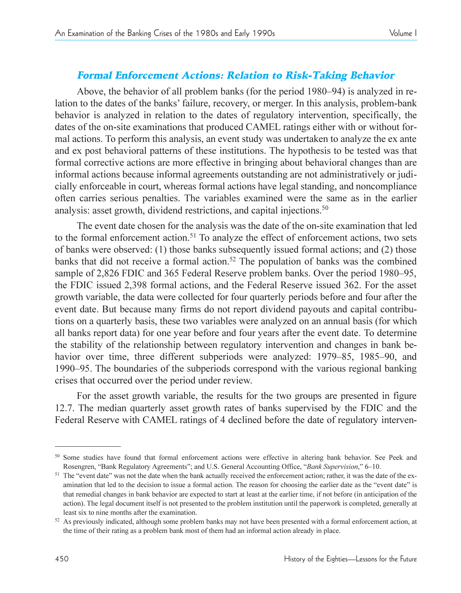## Formal Enforcement Actions: Relation to Risk-Taking Behavior

Above, the behavior of all problem banks (for the period  $1980-94$ ) is analyzed in relation to the dates of the banks' failure, recovery, or merger. In this analysis, problem-bank behavior is analyzed in relation to the dates of regulatory intervention, specifically, the dates of the on-site examinations that produced CAMEL ratings either with or without formal actions. To perform this analysis, an event study was undertaken to analyze the ex ante and ex post behavioral patterns of these institutions. The hypothesis to be tested was that formal corrective actions are more effective in bringing about behavioral changes than are informal actions because informal agreements outstanding are not administratively or judicially enforceable in court, whereas formal actions have legal standing, and noncompliance often carries serious penalties. The variables examined were the same as in the earlier analysis: asset growth, dividend restrictions, and capital injections.<sup>50</sup>

The event date chosen for the analysis was the date of the on-site examination that led to the formal enforcement action.<sup>51</sup> To analyze the effect of enforcement actions, two sets of banks were observed: (1) those banks subsequently issued formal actions; and (2) those banks that did not receive a formal action.<sup>52</sup> The population of banks was the combined sample of 2,826 FDIC and 365 Federal Reserve problem banks. Over the period 1980–95, the FDIC issued 2,398 formal actions, and the Federal Reserve issued 362. For the asset growth variable, the data were collected for four quarterly periods before and four after the event date. But because many firms do not report dividend payouts and capital contributions on a quarterly basis, these two variables were analyzed on an annual basis (for which all banks report data) for one year before and four years after the event date. To determine the stability of the relationship between regulatory intervention and changes in bank behavior over time, three different subperiods were analyzed: 1979–85, 1985–90, and 1990–95. The boundaries of the subperiods correspond with the various regional banking crises that occurred over the period under review.

For the asset growth variable, the results for the two groups are presented in figure 12.7. The median quarterly asset growth rates of banks supervised by the FDIC and the Federal Reserve with CAMEL ratings of 4 declined before the date of regulatory interven-

<sup>&</sup>lt;sup>50</sup> Some studies have found that formal enforcement actions were effective in altering bank behavior. See Peek and

Rosengren, "Bank Regulatory Agreements"; and U.S. General Accounting Office, "Bank Supervision," 6–10.<br><sup>51</sup> The "event date" was not the date when the bank actually received the enforcement action; rather, it was the date amination that led to the decision to issue a formal action. The reason for choosing the earlier date as the "event date" is that remedial changes in bank behavior are expected to start at least at the earlier time, if not before (in anticipation of the action). The legal document itself is not presented to the problem institution until the paperwork is completed, generally at least six to nine months after the examination.

<sup>&</sup>lt;sup>52</sup> As previously indicated, although some problem banks may not have been presented with a formal enforcement action, at the time of their rating as a problem bank most of them had an informal action already in place.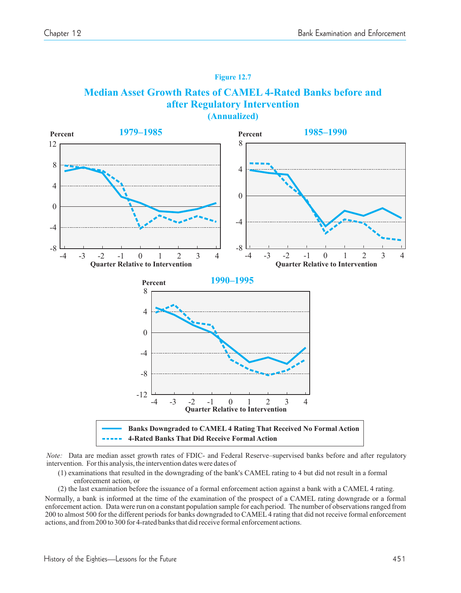#### **Figure 12.7**

#### **Median Asset Growth Rates of CAMEL 4-Rated Banks before and after Regulatory Intervention (Annualized)**



*Note:* Data are median asset growth rates of FDIC- and Federal Reserve supervised banks before and after regulatory – intervention. Forthis analysis, the intervention dates were dates of

- (1) examinations that resulted in the downgrading of the bank's CAMEL rating to 4 but did not result in a formal enforcement action, or
- (2) the last examination before the issuance of a formal enforcement action against a bank with a CAMEL 4 rating.

Normally, a bank is informed at the time of the examination of the prospect of a CAMEL rating downgrade or a formal enforcement action. Data were run on a constant population sample for each period. The number of observationsranged from 200 to almost 500 for the different periods for banks downgraded to CAMEL 4 rating that did not receive formal enforcement actions, and from 200 to 300 for 4-rated banks that did receive formal enforcement actions.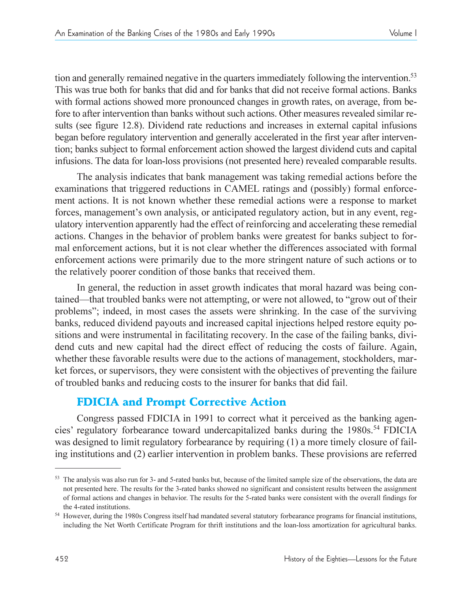tion and generally remained negative in the quarters immediately following the intervention.<sup>53</sup> This was true both for banks that did and for banks that did not receive formal actions. Banks with formal actions showed more pronounced changes in growth rates, on average, from before to after intervention than banks without such actions. Other measures revealed similar results (see figure 12.8). Dividend rate reductions and increases in external capital infusions began before regulatory intervention and generally accelerated in the first year after intervention; banks subject to formal enforcement action showed the largest dividend cuts and capital infusions. The data for loan-loss provisions (not presented here) revealed comparable results.

The analysis indicates that bank management was taking remedial actions before the examinations that triggered reductions in CAMEL ratings and (possibly) formal enforcement actions. It is not known whether these remedial actions were a response to market forces, management's own analysis, or anticipated regulatory action, but in any event, regulatory intervention apparently had the effect of reinforcing and accelerating these remedial actions. Changes in the behavior of problem banks were greatest for banks subject to formal enforcement actions, but it is not clear whether the differences associated with formal enforcement actions were primarily due to the more stringent nature of such actions or to the relatively poorer condition of those banks that received them.

In general, the reduction in asset growth indicates that moral hazard was being contained—that troubled banks were not attempting, or were not allowed, to "grow out of their problems"; indeed, in most cases the assets were shrinking. In the case of the surviving banks, reduced dividend payouts and increased capital injections helped restore equity positions and were instrumental in facilitating recovery. In the case of the failing banks, dividend cuts and new capital had the direct effect of reducing the costs of failure. Again, whether these favorable results were due to the actions of management, stockholders, market forces, or supervisors, they were consistent with the objectives of preventing the failure of troubled banks and reducing costs to the insurer for banks that did fail.

# FDICIA and Prompt Corrective Action

Congress passed FDICIA in 1991 to correct what it perceived as the banking agencies' regulatory forbearance toward undercapitalized banks during the 1980s.<sup>54</sup> FDICIA was designed to limit regulatory forbearance by requiring (1) a more timely closure of failing institutions and (2) earlier intervention in problem banks. These provisions are referred

<sup>53</sup> The analysis was also run for 3- and 5-rated banks but, because of the limited sample size of the observations, the data are not presented here. The results for the 3-rated banks showed no significant and consistent results between the assignment of formal actions and changes in behavior. The results for the 5-rated banks were consistent with the overall findings for the 4-rated institutions. 54 However, during the 1980s Congress itself had mandated several statutory forbearance programs for financial institutions,

including the Net Worth Certificate Program for thrift institutions and the loan-loss amortization for agricultural banks.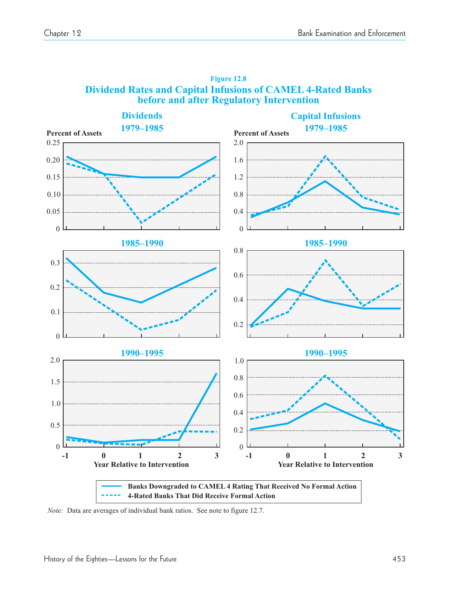

#### **Figure 12.8 Dividend Rates and Capital Infusions of CAMEL 4-Rated Banks before and after Regulatory Intervention**

*Note:* Data are averages of individual bank ratios. See note to figure 12.7.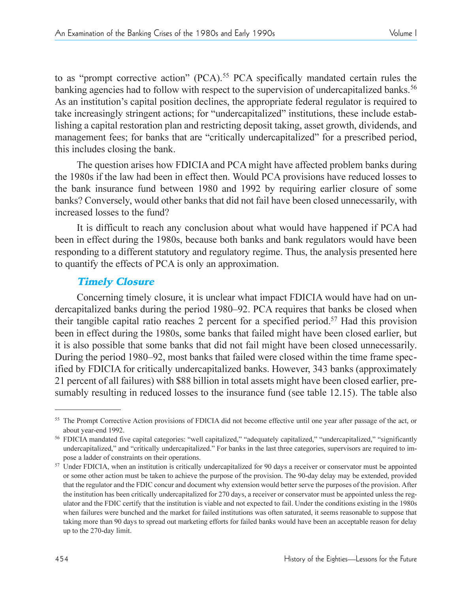take increasingly stringent actions; for "undercapitalized" institutions, these include establishing a capital restoration plan and restricting deposit taking, asset growth, dividends, and management fees; for banks that are "critically undercapitalized" for a prescribed period, this includes closing the bank.

The question arises how FDICIA and PCA might have affected problem banks during the 1980s if the law had been in effect then. Would PCA provisions have reduced losses to the bank insurance fund between 1980 and 1992 by requiring earlier closure of some banks? Conversely, would other banks that did not fail have been closed unnecessarily, with increased losses to the fund?

It is difficult to reach any conclusion about what would have happened if PCA had been in effect during the 1980s, because both banks and bank regulators would have been responding to a different statutory and regulatory regime. Thus, the analysis presented here to quantify the effects of PCA is only an approximation.

## Timely Closure

Concerning timely closure, it is unclear what impact FDICIA would have had on undercapitalized banks during the period 1980–92. PCA requires that banks be closed when their tangible capital ratio reaches 2 percent for a specified period.57 Had this provision been in effect during the 1980s, some banks that failed might have been closed earlier, but it is also possible that some banks that did not fail might have been closed unnecessarily. During the period 1980–92, most banks that failed were closed within the time frame specified by FDICIA for critically undercapitalized banks. However, 343 banks (approximately 21 percent of all failures) with \$88 billion in total assets might have been closed earlier, presumably resulting in reduced losses to the insurance fund (see table 12.15). The table also

<sup>&</sup>lt;sup>55</sup> The Prompt Corrective Action provisions of FDICIA did not become effective until one year after passage of the act, or about year-end 1992.<br><sup>56</sup> FDICIA mandated five capital categories: "well capitalized," "adequately capitalized," "undercapitalized," "significantly

undercapitalized," and "critically undercapitalized." For banks in the last three categories, supervisors are required to impose a ladder of constraints on their operations. 57 Under FDICIA, when an institution is critically undercapitalized for 90 days a receiver or conservator must be appointed

or some other action must be taken to achieve the purpose of the provision. The 90-day delay may be extended, provided that the regulator and the FDIC concur and document why extension would better serve the purposes of the provision. After the institution has been critically undercapitalized for 270 days, a receiver or conservator must be appointed unless the regulator and the FDIC certify that the institution is viable and not expected to fail. Under the conditions existing in the 1980s when failures were bunched and the market for failed institutions was often saturated, it seems reasonable to suppose that taking more than 90 days to spread out marketing efforts for failed banks would have been an acceptable reason for delay up to the 270-day limit.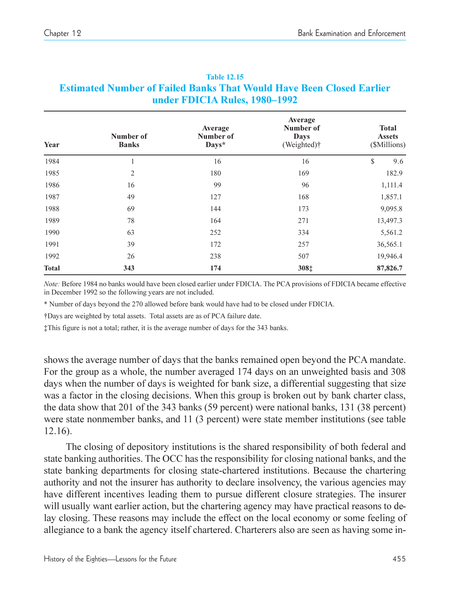| Year         | Number of<br><b>Banks</b> | Average<br>Number of<br>Days* | Average<br>Number of<br>Days<br>(Weighted) <sup>†</sup> | <b>Total</b><br><b>Assets</b><br>(\$Millions) |
|--------------|---------------------------|-------------------------------|---------------------------------------------------------|-----------------------------------------------|
| 1984         | 1                         | 16                            | 16                                                      | \$<br>9.6                                     |
| 1985         | $\mathfrak{2}$            | 180                           | 169                                                     | 182.9                                         |
| 1986         | 16                        | 99                            | 96                                                      | 1,111.4                                       |
| 1987         | 49                        | 127                           | 168                                                     | 1,857.1                                       |
| 1988         | 69                        | 144                           | 173                                                     | 9,095.8                                       |
| 1989         | 78                        | 164                           | 271                                                     | 13,497.3                                      |
| 1990         | 63                        | 252                           | 334                                                     | 5,561.2                                       |
| 1991         | 39                        | 172                           | 257                                                     | 36,565.1                                      |
| 1992         | 26                        | 238                           | 507                                                     | 19,946.4                                      |
| <b>Total</b> | 343                       | 174                           | 308‡                                                    | 87,826.7                                      |

#### **Table 12.15 Estimated Number of Failed Banks That Would Have Been Closed Earlier under FDICIA Rules, 1980–1992**

*Note:* Before 1984 no banks would have been closed earlier under FDICIA. The PCA provisions of FDICIA became effective in December 1992 so the following years are not included.

\* Number of days beyond the 270 allowed before bank would have had to be closed under FDICIA.

Days are weighted by total assets. Total assets are as of PCA failure date.

This figure is not a total; rather, it is the average number of days for the 343 banks.

shows the average number of days that the banks remained open beyond the PCA mandate. For the group as a whole, the number averaged 174 days on an unweighted basis and 308 days when the number of days is weighted for bank size, a differential suggesting that size was a factor in the closing decisions. When this group is broken out by bank charter class, the data show that 201 of the 343 banks (59 percent) were national banks, 131 (38 percent) were state nonmember banks, and 11 (3 percent) were state member institutions (see table 12.16).

The closing of depository institutions is the shared responsibility of both federal and state banking authorities. The OCC has the responsibility for closing national banks, and the state banking departments for closing state-chartered institutions. Because the chartering authority and not the insurer has authority to declare insolvency, the various agencies may have different incentives leading them to pursue different closure strategies. The insurer will usually want earlier action, but the chartering agency may have practical reasons to delay closing. These reasons may include the effect on the local economy or some feeling of allegiance to a bank the agency itself chartered. Charterers also are seen as having some in-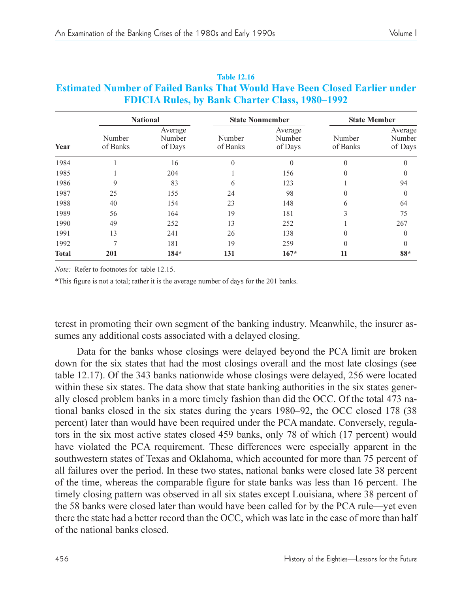|              | <b>National</b>    |                              | <b>State Nonmember</b> |                              |                    | <b>State Member</b>          |  |
|--------------|--------------------|------------------------------|------------------------|------------------------------|--------------------|------------------------------|--|
| Year         | Number<br>of Banks | Average<br>Number<br>of Days | Number<br>of Banks     | Average<br>Number<br>of Days | Number<br>of Banks | Average<br>Number<br>of Days |  |
| 1984         |                    | 16                           | $\theta$               | $\Omega$                     | $\theta$           | $\Omega$                     |  |
| 1985         |                    | 204                          |                        | 156                          | $\Omega$           | $\theta$                     |  |
| 1986         | 9                  | 83                           | 6                      | 123                          |                    | 94                           |  |
| 1987         | 25                 | 155                          | 24                     | 98                           | $\Omega$           | $\theta$                     |  |
| 1988         | 40                 | 154                          | 23                     | 148                          | 6                  | 64                           |  |
| 1989         | 56                 | 164                          | 19                     | 181                          | 3                  | 75                           |  |
| 1990         | 49                 | 252                          | 13                     | 252                          |                    | 267                          |  |
| 1991         | 13                 | 241                          | 26                     | 138                          | $\Omega$           | $\theta$                     |  |
| 1992         | $\overline{7}$     | 181                          | 19                     | 259                          | $\Omega$           | 0                            |  |
| <b>Total</b> | 201                | $184*$                       | 131                    | $167*$                       | 11                 | 88*                          |  |

#### **Table 12.16 Estimated Number of Failed Banks That Would Have Been Closed Earlier under FDICIA Rules, by Bank Charter Class, 1980–1992**

*Note:* Refer to footnotes for table 12.15.

\*This figure is not a total; rather it is the average number of days for the 201 banks.

terest in promoting their own segment of the banking industry. Meanwhile, the insurer assumes any additional costs associated with a delayed closing.

Data for the banks whose closings were delayed beyond the PCA limit are broken down for the six states that had the most closings overall and the most late closings (see table 12.17). Of the 343 banks nationwide whose closings were delayed, 256 were located within these six states. The data show that state banking authorities in the six states generally closed problem banks in a more timely fashion than did the OCC. Of the total 473 national banks closed in the six states during the years  $1980-92$ , the OCC closed  $178$  (38) percent) later than would have been required under the PCA mandate. Conversely, regulators in the six most active states closed 459 banks, only 78 of which (17 percent) would have violated the PCA requirement. These differences were especially apparent in the southwestern states of Texas and Oklahoma, which accounted for more than 75 percent of all failures over the period. In these two states, national banks were closed late 38 percent of the time, whereas the comparable figure for state banks was less than 16 percent. The timely closing pattern was observed in all six states except Louisiana, where 38 percent of the 58 banks were closed later than would have been called for by the PCA rule—yet even there the state had a better record than the OCC, which was late in the case of more than half of the national banks closed.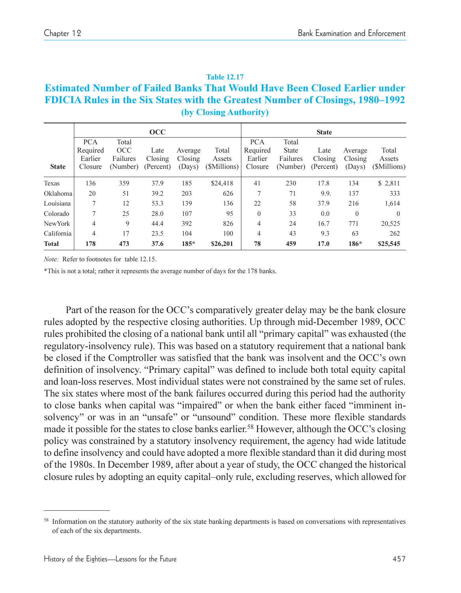| <b>Table 12.17</b>                                                                    |
|---------------------------------------------------------------------------------------|
| <b>Estimated Number of Failed Banks That Would Have Been Closed Earlier under</b>     |
| <b>FDICIA Rules in the Six States with the Greatest Number of Closings, 1980–1992</b> |
| (by Closing Authority)                                                                |

|                |                                              |                                      | $\rm occ$                    |                              |                                 |                                              |                                               | <b>State</b>                 |                              |                                 |
|----------------|----------------------------------------------|--------------------------------------|------------------------------|------------------------------|---------------------------------|----------------------------------------------|-----------------------------------------------|------------------------------|------------------------------|---------------------------------|
| <b>State</b>   | <b>PCA</b><br>Required<br>Earlier<br>Closure | Total<br>OCC<br>Failures<br>(Number) | Late<br>Closing<br>(Percent) | Average<br>Closing<br>(Days) | Total<br>Assets<br>(\$Millions) | <b>PCA</b><br>Required<br>Earlier<br>Closure | Total<br><b>State</b><br>Failures<br>(Number) | Late<br>Closing<br>(Percent) | Average<br>Closing<br>(Days) | Total<br>Assets<br>(\$Millions) |
| Texas          | 136                                          | 359                                  | 37.9                         | 185                          | \$24,418                        | 41                                           | 230                                           | 17.8                         | 134                          | \$ 2,811                        |
| Oklahoma       | 20                                           | 51                                   | 39.2                         | 203                          | 626                             | 7                                            | 71                                            | 9.9.                         | 137                          | 333                             |
| Louisiana      | 7                                            | 12                                   | 53.3                         | 139                          | 136                             | 22                                           | 58                                            | 37.9                         | 216                          | 1,614                           |
| Colorado       | 7                                            | 25                                   | 28.0                         | 107                          | 95                              | $\mathbf{0}$                                 | 33                                            | 0.0                          | $\mathbf{0}$                 | $\Omega$                        |
| <b>NewYork</b> | 4                                            | 9                                    | 44.4                         | 392                          | 826                             | $\overline{4}$                               | 24                                            | 16.7                         | 771                          | 20,525                          |
| California     | 4                                            | 17                                   | 23.5                         | 104                          | 100                             | 4                                            | 43                                            | 9.3                          | 63                           | 262                             |
| <b>Total</b>   | 178                                          | 473                                  | 37.6                         | $185*$                       | \$26,201                        | 78                                           | 459                                           | 17.0                         | 186*                         | \$25,545                        |

*Note:* Refer to footnotes for table 12.15.

\*This is not a total; rather it represents the average number of days for the 178 banks.

Part of the reason for the OCC's comparatively greater delay may be the bank closure rules adopted by the respective closing authorities. Up through mid-December 1989, OCC rules prohibited the closing of a national bank until all "primary capital" was exhausted (the regulatory-insolvency rule). This was based on a statutory requirement that a national bank be closed if the Comptroller was satisfied that the bank was insolvent and the OCC's own definition of insolvency. "Primary capital" was defined to include both total equity capital and loan-loss reserves. Most individual states were not constrained by the same set of rules. The six states where most of the bank failures occurred during this period had the authority to close banks when capital was "impaired" or when the bank either faced "imminent insolvency" or was in an "unsafe" or "unsound" condition. These more flexible standards made it possible for the states to close banks earlier.<sup>58</sup> However, although the OCC's closing policy was constrained by a statutory insolvency requirement, the agency had wide latitude to define insolvency and could have adopted a more flexible standard than it did during most of the 1980s. In December 1989, after about a year of study, the OCC changed the historical closure rules by adopting an equity capital-only rule, excluding reserves, which allowed for

<sup>&</sup>lt;sup>58</sup> Information on the statutory authority of the six state banking departments is based on conversations with representatives of each of the six departments.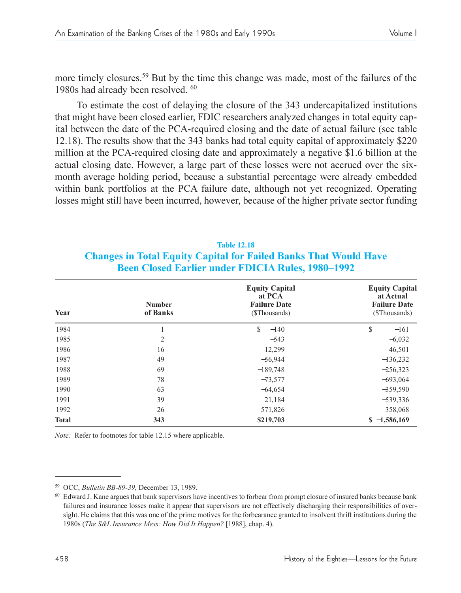more timely closures.59 But by the time this change was made, most of the failures of the 1980s had already been resolved. 60

To estimate the cost of delaying the closure of the 343 undercapitalized institutions that might have been closed earlier, FDIC researchers analyzed changes in total equity capital between the date of the PCA-required closing and the date of actual failure (see table 12.18). The results show that the 343 banks had total equity capital of approximately \$220 million at the PCA-required closing date and approximately a negative \$1.6 billion at the actual closing date. However, a large part of these losses were not accrued over the sixmonth average holding period, because a substantial percentage were already embedded within bank portfolios at the PCA failure date, although not yet recognized. Operating losses might still have been incurred, however, because of the higher private sector funding

| <b>Table 12.18</b>                                                      |  |
|-------------------------------------------------------------------------|--|
| <b>Changes in Total Equity Capital for Failed Banks That Would Have</b> |  |
| <b>Been Closed Earlier under FDICIA Rules, 1980–1992</b>                |  |

| Year         | <b>Equity Capital</b><br>at PCA<br><b>Failure Date</b><br><b>Number</b><br>of Banks<br>(\$Thousands) |               | <b>Equity Capital</b><br>at Actual<br><b>Failure Date</b><br>(\$Thousands) |  |  |
|--------------|------------------------------------------------------------------------------------------------------|---------------|----------------------------------------------------------------------------|--|--|
| 1984         | 1                                                                                                    | \$.<br>$-140$ | \$<br>$-161$                                                               |  |  |
| 1985         | $\overline{2}$                                                                                       | $-543$        | $-6,032$                                                                   |  |  |
| 1986         | 16                                                                                                   | 12,299        | 46,501                                                                     |  |  |
| 1987         | 49                                                                                                   | $-56,944$     | $-136,232$                                                                 |  |  |
| 1988         | 69                                                                                                   | $-189,748$    | $-256,323$                                                                 |  |  |
| 1989         | 78                                                                                                   | $-73,577$     | $-693,064$                                                                 |  |  |
| 1990         | 63                                                                                                   | $-64,654$     | $-359,590$                                                                 |  |  |
| 1991         | 39                                                                                                   | 21,184        | $-539,336$                                                                 |  |  |
| 1992         | 26                                                                                                   | 571,826       | 358,068                                                                    |  |  |
| <b>Total</b> | 343                                                                                                  | \$219,703     | $$ -1,586,169$                                                             |  |  |

*Note:* Refer to footnotes for table 12.15 where applicable.

<sup>59</sup> OCC, *Bulletin BB-89-39*, December 13, 1989.

<sup>&</sup>lt;sup>60</sup> Edward J. Kane argues that bank supervisors have incentives to forbear from prompt closure of insured banks because bank failures and insurance losses make it appear that supervisors are not effectively discharging their responsibilities of oversight. He claims that this was one of the prime motives for the forbearance granted to insolvent thrift institutions during the 1980s (*The S&L Insurance Mess: How Did It Happen?* [1988], chap. 4).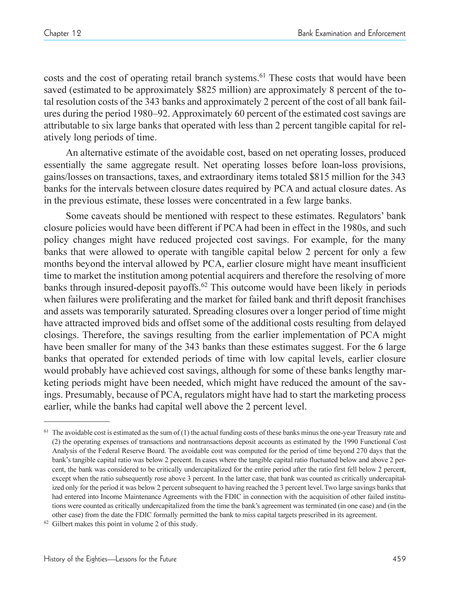costs and the cost of operating retail branch systems.<sup>61</sup> These costs that would have been saved (estimated to be approximately \$825 million) are approximately 8 percent of the total resolution costs of the 343 banks and approximately 2 percent of the cost of all bank failures during the period 1980–92. Approximately 60 percent of the estimated cost savings are attributable to six large banks that operated with less than 2 percent tangible capital for relatively long periods of time.

An alternative estimate of the avoidable cost, based on net operating losses, produced essentially the same aggregate result. Net operating losses before loan-loss provisions, gains/losses on transactions, taxes, and extraordinary items totaled \$815 million for the 343 banks for the intervals between closure dates required by PCA and actual closure dates. As in the previous estimate, these losses were concentrated in a few large banks.

Some caveats should be mentioned with respect to these estimates. Regulators' bank closure policies would have been different if PCA had been in effect in the 1980s, and such policy changes might have reduced projected cost savings. For example, for the many banks that were allowed to operate with tangible capital below 2 percent for only a few months beyond the interval allowed by PCA, earlier closure might have meant insufficient time to market the institution among potential acquirers and therefore the resolving of more banks through insured-deposit payoffs.<sup>62</sup> This outcome would have been likely in periods when failures were proliferating and the market for failed bank and thrift deposit franchises and assets was temporarily saturated. Spreading closures over a longer period of time might have attracted improved bids and offset some of the additional costs resulting from delayed closings. Therefore, the savings resulting from the earlier implementation of PCA might have been smaller for many of the 343 banks than these estimates suggest. For the 6 large banks that operated for extended periods of time with low capital levels, earlier closure would probably have achieved cost savings, although for some of these banks lengthy marketing periods might have been needed, which might have reduced the amount of the savings. Presumably, because of PCA, regulators might have had to start the marketing process earlier, while the banks had capital well above the 2 percent level.

 $61$  The avoidable cost is estimated as the sum of (1) the actual funding costs of these banks minus the one-year Treasury rate and (2) the operating expenses of transactions and nontransactions deposit accounts as estimated by the 1990 Functional Cost Analysis of the Federal Reserve Board. The avoidable cost was computed for the period of time beyond 270 days that the bank's tangible capital ratio was below 2 percent. In cases where the tangible capital ratio fluctuated below and above 2 percent, the bank was considered to be critically undercapitalized for the entire period after the ratio first fell below 2 percent, except when the ratio subsequently rose above 3 percent. In the latter case, that bank was counted as critically undercapitalized only for the period it was below 2 percent subsequent to having reached the 3 percent level. Two large savings banks that had entered into Income Maintenance Agreements with the FDIC in connection with the acquisition of other failed institutions were counted as critically undercapitalized from the time the bank's agreement was terminated (in one case) and (in the other case) from the date the FDIC formally permitted the bank to miss capital targets prescribed in its agreement. 62 Gilbert makes this point in volume 2 of this study.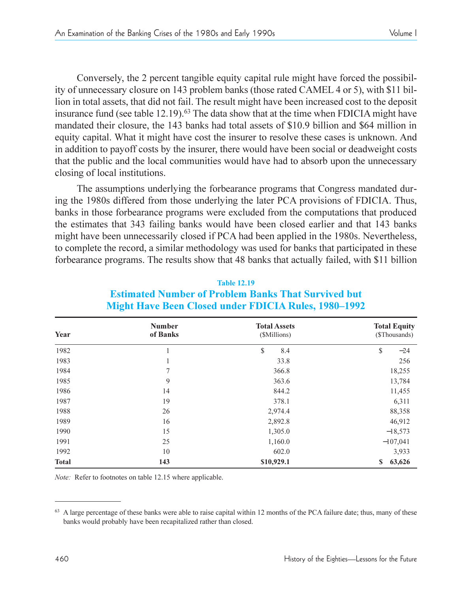Conversely, the 2 percent tangible equity capital rule might have forced the possibility of unnecessary closure on 143 problem banks (those rated CAMEL 4 or 5), with \$11 billion in total assets, that did not fail. The result might have been increased cost to the deposit insurance fund (see table  $12.19$ ).<sup>63</sup> The data show that at the time when FDICIA might have mandated their closure, the 143 banks had total assets of \$10.9 billion and \$64 million in equity capital. What it might have cost the insurer to resolve these cases is unknown. And in addition to payoff costs by the insurer, there would have been social or deadweight costs that the public and the local communities would have had to absorb upon the unnecessary closing of local institutions.

The assumptions underlying the forbearance programs that Congress mandated during the 1980s differed from those underlying the later PCA provisions of FDICIA. Thus, banks in those forbearance programs were excluded from the computations that produced the estimates that 343 failing banks would have been closed earlier and that 143 banks might have been unnecessarily closed if PCA had been applied in the 1980s. Nevertheless, to complete the record, a similar methodology was used for banks that participated in these forbearance programs. The results show that 48 banks that actually failed, with \$11 billion

| Year         | <b>Number</b><br>of Banks | <b>Total Assets</b><br>(\$Millions) | <b>Total Equity</b><br>(\$Thousands) |  |
|--------------|---------------------------|-------------------------------------|--------------------------------------|--|
| 1982         |                           | \$<br>8.4                           | \$<br>$-24$                          |  |
| 1983         | 1                         | 33.8                                | 256                                  |  |
| 1984         | 7                         | 366.8                               | 18,255                               |  |
| 1985         | 9                         | 363.6                               | 13,784                               |  |
| 1986         | 14                        | 844.2                               | 11,455                               |  |
| 1987         | 19                        | 378.1                               | 6,311                                |  |
| 1988         | 26                        | 2,974.4                             | 88,358                               |  |
| 1989         | 16                        | 2,892.8                             | 46,912                               |  |
| 1990         | 15                        | 1,305.0                             | $-18,573$                            |  |
| 1991         | 25                        | 1,160.0                             | $-107,041$                           |  |
| 1992         | 10                        | 602.0                               | 3,933                                |  |
| <b>Total</b> | 143                       | \$10,929.1                          | 63,626<br>\$                         |  |

#### **Table 12.19 Estimated Number of Problem Banks That Survived but Might Have Been Closed under FDICIA Rules, 1980–1992**

*Note:* Refer to footnotes on table 12.15 where applicable.

<sup>&</sup>lt;sup>63</sup> A large percentage of these banks were able to raise capital within 12 months of the PCA failure date; thus, many of these banks would probably have been recapitalized rather than closed.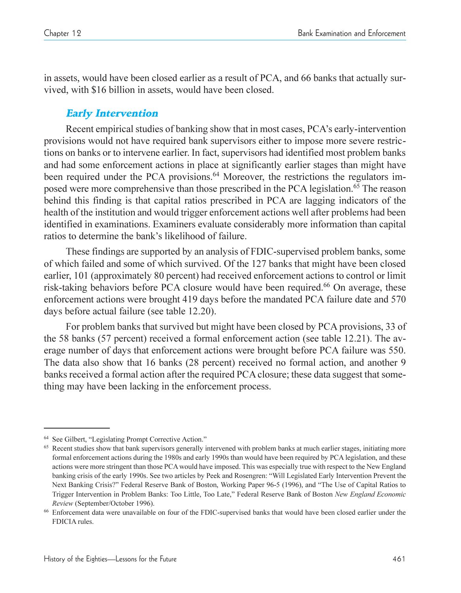in assets, would have been closed earlier as a result of PCA, and 66 banks that actually survived, with \$16 billion in assets, would have been closed.

## Early Intervention

Recent empirical studies of banking show that in most cases, PCA's early-intervention provisions would not have required bank supervisors either to impose more severe restrictions on banks or to intervene earlier. In fact, supervisors had identified most problem banks and had some enforcement actions in place at significantly earlier stages than might have been required under the PCA provisions.<sup>64</sup> Moreover, the restrictions the regulators imposed were more comprehensive than those prescribed in the PCA legislation.<sup>65</sup> The reason behind this finding is that capital ratios prescribed in PCA are lagging indicators of the health of the institution and would trigger enforcement actions well after problems had been identified in examinations. Examiners evaluate considerably more information than capital ratios to determine the bank's likelihood of failure.

These findings are supported by an analysis of FDIC-supervised problem banks, some of which failed and some of which survived. Of the 127 banks that might have been closed earlier, 101 (approximately 80 percent) had received enforcement actions to control or limit risk-taking behaviors before PCA closure would have been required.<sup>66</sup> On average, these enforcement actions were brought 419 days before the mandated PCA failure date and 570 days before actual failure (see table 12.20).

For problem banks that survived but might have been closed by PCA provisions, 33 of the 58 banks (57 percent) received a formal enforcement action (see table 12.21). The average number of days that enforcement actions were brought before PCA failure was 550. The data also show that 16 banks (28 percent) received no formal action, and another 9 banks received a formal action after the required PCA closure; these data suggest that something may have been lacking in the enforcement process.

<sup>&</sup>lt;sup>64</sup> See Gilbert, "Legislating Prompt Corrective Action."

<sup>&</sup>lt;sup>65</sup> Recent studies show that bank supervisors generally intervened with problem banks at much earlier stages, initiating more formal enforcement actions during the 1980s and early 1990s than would have been required by PCA legislation, and these actions were more stringent than those PCAwould have imposed. This was especially true with respect to the New England banking crisis of the early 1990s. See two articles by Peek and Rosengren: Will Legislated Early Intervention Prevent the Next Banking Crisis?" Federal Reserve Bank of Boston, Working Paper 96-5 (1996), and "The Use of Capital Ratios to Trigger Intervention in Problem Banks: Too Little, Too Late, Federal Reserve Bank of Boston *New England Economic Review* (September/October 1996).

<sup>66</sup> Enforcement data were unavailable on four of the FDIC-supervised banks that would have been closed earlier under the FDICIA rules.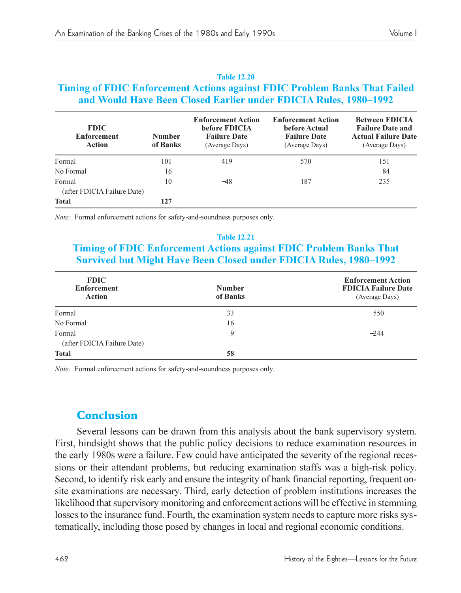#### **Timing of FDIC Enforcement Actions against FDIC Problem Banks That Failed and Would Have Been Closed Earlier under FDICIA Rules, 1980–1992 Enforcement Action Enforcement Action Between FDICIA FDIC before FDICIA before Actual Failure Date and Enforcement Number Failure Date Failure Date Actual Failure Date Action of Banks** (Average Davs) (Average Davs) (Average Davs) (Average Days) (Average Days) (Average Days) Formal 101 419 570 151 No Formal  $16$   $16$ Formal 10 −48 187 235 (after FDICIA Failure Date) **Total 127**

**Table 12.20**

*Note:* Formal enforcement actions for safety-and-soundness purposes only.

#### **Table 12.21**

## **Timing of FDIC Enforcement Actions against FDIC Problem Banks That Survived but Might Have Been Closed under <b>FDICIA** Rules, 1980–1992

| <b>FDIC</b><br><b>Enforcement</b><br><b>Action</b> | <b>Number</b><br>of Banks | <b>Enforcement Action</b><br><b>FDICIA Failure Date</b><br>(Average Days) |
|----------------------------------------------------|---------------------------|---------------------------------------------------------------------------|
| Formal                                             | 33                        | 550                                                                       |
| No Formal                                          | 16                        |                                                                           |
| Formal<br>(after FDICIA Failure Date)              | 9                         | $-244$                                                                    |
| <b>Total</b>                                       | 58                        |                                                                           |

*Note:* Formal enforcement actions for safety-and-soundness purposes only.

## Conclusion

Several lessons can be drawn from this analysis about the bank supervisory system. First, hindsight shows that the public policy decisions to reduce examination resources in the early 1980s were a failure. Few could have anticipated the severity of the regional recessions or their attendant problems, but reducing examination staffs was a high-risk policy. Second, to identify risk early and ensure the integrity of bank financial reporting, frequent onsite examinations are necessary. Third, early detection of problem institutions increases the likelihood that supervisory monitoring and enforcement actions will be effective in stemming losses to the insurance fund. Fourth, the examination system needs to capture more risks systematically, including those posed by changes in local and regional economic conditions.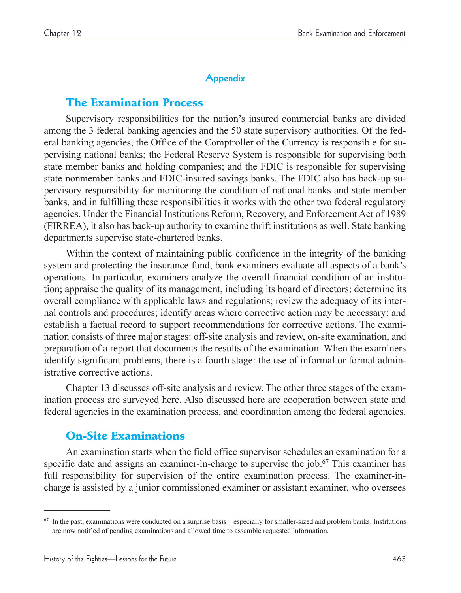## **Appendix**

## The Examination Process

Supervisory responsibilities for the nation's insured commercial banks are divided among the 3 federal banking agencies and the 50 state supervisory authorities. Of the federal banking agencies, the Office of the Comptroller of the Currency is responsible for supervising national banks; the Federal Reserve System is responsible for supervising both state member banks and holding companies; and the FDIC is responsible for supervising state nonmember banks and FDIC-insured savings banks. The FDIC also has back-up supervisory responsibility for monitoring the condition of national banks and state member banks, and in fulfilling these responsibilities it works with the other two federal regulatory agencies. Under the Financial Institutions Reform, Recovery, and Enforcement Act of 1989 (FIRREA), it also has back-up authority to examine thrift institutions as well. State banking departments supervise state-chartered banks.

Within the context of maintaining public confidence in the integrity of the banking system and protecting the insurance fund, bank examiners evaluate all aspects of a bank's operations. In particular, examiners analyze the overall financial condition of an institution; appraise the quality of its management, including its board of directors; determine its overall compliance with applicable laws and regulations; review the adequacy of its internal controls and procedures; identify areas where corrective action may be necessary; and establish a factual record to support recommendations for corrective actions. The examination consists of three major stages: off-site analysis and review, on-site examination, and preparation of a report that documents the results of the examination. When the examiners identify significant problems, there is a fourth stage: the use of informal or formal administrative corrective actions.

Chapter 13 discusses off-site analysis and review. The other three stages of the examination process are surveyed here. Also discussed here are cooperation between state and federal agencies in the examination process, and coordination among the federal agencies.

# On-Site Examinations

An examination starts when the field office supervisor schedules an examination for a specific date and assigns an examiner-in-charge to supervise the job.<sup>67</sup> This examiner has full responsibility for supervision of the entire examination process. The examiner-incharge is assisted by a junior commissioned examiner or assistant examiner, who oversees

 $67$  In the past, examinations were conducted on a surprise basis—especially for smaller-sized and problem banks. Institutions are now notified of pending examinations and allowed time to assemble requested information.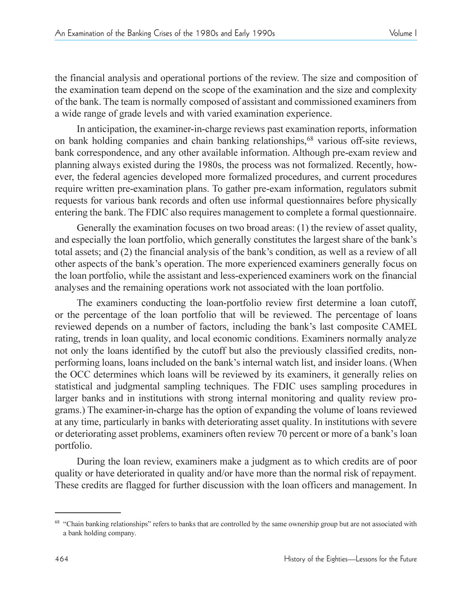the financial analysis and operational portions of the review. The size and composition of the examination team depend on the scope of the examination and the size and complexity of the bank. The team is normally composed of assistant and commissioned examiners from a wide range of grade levels and with varied examination experience.

In anticipation, the examiner-in-charge reviews past examination reports, information on bank holding companies and chain banking relationships,68 various off-site reviews, bank correspondence, and any other available information. Although pre-exam review and planning always existed during the 1980s, the process was not formalized. Recently, however, the federal agencies developed more formalized procedures, and current procedures require written pre-examination plans. To gather pre-exam information, regulators submit requests for various bank records and often use informal questionnaires before physically entering the bank. The FDIC also requires management to complete a formal questionnaire.

Generally the examination focuses on two broad areas: (1) the review of asset quality, and especially the loan portfolio, which generally constitutes the largest share of the bank's total assets; and  $(2)$  the financial analysis of the bank's condition, as well as a review of all other aspects of the bank's operation. The more experienced examiners generally focus on the loan portfolio, while the assistant and less-experienced examiners work on the financial analyses and the remaining operations work not associated with the loan portfolio.

The examiners conducting the loan-portfolio review first determine a loan cutoff, or the percentage of the loan portfolio that will be reviewed. The percentage of loans reviewed depends on a number of factors, including the bank's last composite CAMEL rating, trends in loan quality, and local economic conditions. Examiners normally analyze not only the loans identified by the cutoff but also the previously classified credits, nonperforming loans, loans included on the bank's internal watch list, and insider loans. (When the OCC determines which loans will be reviewed by its examiners, it generally relies on statistical and judgmental sampling techniques. The FDIC uses sampling procedures in larger banks and in institutions with strong internal monitoring and quality review programs.) The examiner-in-charge has the option of expanding the volume of loans reviewed at any time, particularly in banks with deteriorating asset quality. In institutions with severe or deteriorating asset problems, examiners often review 70 percent or more of a bank's loan portfolio.

During the loan review, examiners make a judgment as to which credits are of poor quality or have deteriorated in quality and/or have more than the normal risk of repayment. These credits are flagged for further discussion with the loan officers and management. In

<sup>&</sup>lt;sup>68</sup> "Chain banking relationships" refers to banks that are controlled by the same ownership group but are not associated with a bank holding company.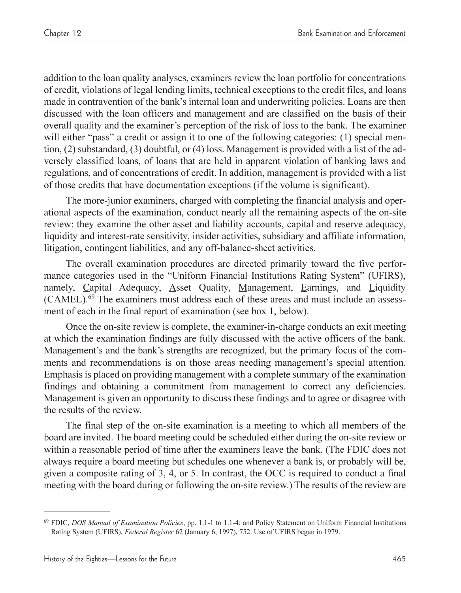addition to the loan quality analyses, examiners review the loan portfolio for concentrations of credit, violations of legal lending limits, technical exceptions to the credit files, and loans made in contravention of the bank's internal loan and underwriting policies. Loans are then discussed with the loan officers and management and are classified on the basis of their overall quality and the examiner's perception of the risk of loss to the bank. The examiner will either "pass" a credit or assign it to one of the following categories: (1) special mention, (2) substandard, (3) doubtful, or (4) loss. Management is provided with a list of the adversely classified loans, of loans that are held in apparent violation of banking laws and regulations, and of concentrations of credit. In addition, management is provided with a list of those credits that have documentation exceptions (if the volume is significant).

The more-junior examiners, charged with completing the financial analysis and operational aspects of the examination, conduct nearly all the remaining aspects of the on-site review: they examine the other asset and liability accounts, capital and reserve adequacy, liquidity and interest-rate sensitivity, insider activities, subsidiary and affiliate information, litigation, contingent liabilities, and any off-balance-sheet activities.

The overall examination procedures are directed primarily toward the five performance categories used in the "Uniform Financial Institutions Rating System" (UFIRS), namely, Capital Adequacy, Asset Quality, Management, Earnings, and Liquidity (CAMEL).69 The examiners must address each of these areas and must include an assessment of each in the final report of examination (see box 1, below).

Once the on-site review is complete, the examiner-in-charge conducts an exit meeting at which the examination findings are fully discussed with the active officers of the bank. Management's and the bank's strengths are recognized, but the primary focus of the comments and recommendations is on those areas needing management's special attention. Emphasis is placed on providing management with a complete summary of the examination findings and obtaining a commitment from management to correct any deficiencies. Management is given an opportunity to discuss these findings and to agree or disagree with the results of the review.

The final step of the on-site examination is a meeting to which all members of the board are invited. The board meeting could be scheduled either during the on-site review or within a reasonable period of time after the examiners leave the bank. (The FDIC does not always require a board meeting but schedules one whenever a bank is, or probably will be, given a composite rating of 3, 4, or 5. In contrast, the OCC is required to conduct a final meeting with the board during or following the on-site review.) The results of the review are

<sup>69</sup> FDIC, *DOS Manual of Examination Policies*, pp. 1.1-1 to 1.1-4; and Policy Statement on Uniform Financial Institutions Rating System (UFIRS), *Federal Register* 62 (January 6, 1997), 752. Use of UFIRS began in 1979.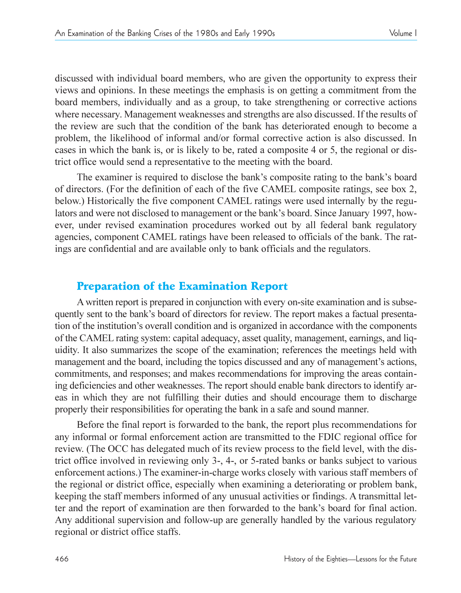discussed with individual board members, who are given the opportunity to express their views and opinions. In these meetings the emphasis is on getting a commitment from the board members, individually and as a group, to take strengthening or corrective actions where necessary. Management weaknesses and strengths are also discussed. If the results of the review are such that the condition of the bank has deteriorated enough to become a problem, the likelihood of informal and/or formal corrective action is also discussed. In cases in which the bank is, or is likely to be, rated a composite 4 or 5, the regional or district office would send a representative to the meeting with the board.

The examiner is required to disclose the bank's composite rating to the bank's board of directors. (For the definition of each of the five CAMEL composite ratings, see box 2, below.) Historically the five component CAMEL ratings were used internally by the regulators and were not disclosed to management or the bank's board. Since January 1997, however, under revised examination procedures worked out by all federal bank regulatory agencies, component CAMEL ratings have been released to officials of the bank. The ratings are confidential and are available only to bank officials and the regulators.

## Preparation of the Examination Report

A written report is prepared in conjunction with every on-site examination and is subsequently sent to the bank's board of directors for review. The report makes a factual presentation of the institution's overall condition and is organized in accordance with the components of the CAMEL rating system: capital adequacy, asset quality, management, earnings, and liquidity. It also summarizes the scope of the examination; references the meetings held with management and the board, including the topics discussed and any of management's actions, commitments, and responses; and makes recommendations for improving the areas containing deficiencies and other weaknesses. The report should enable bank directors to identify areas in which they are not fulfilling their duties and should encourage them to discharge properly their responsibilities for operating the bank in a safe and sound manner.

Before the final report is forwarded to the bank, the report plus recommendations for any informal or formal enforcement action are transmitted to the FDIC regional office for review. (The OCC has delegated much of its review process to the field level, with the district office involved in reviewing only 3-, 4-, or 5-rated banks or banks subject to various enforcement actions.) The examiner-in-charge works closely with various staff members of the regional or district office, especially when examining a deteriorating or problem bank, keeping the staff members informed of any unusual activities or findings. A transmittal letter and the report of examination are then forwarded to the bank's board for final action. Any additional supervision and follow-up are generally handled by the various regulatory regional or district office staffs.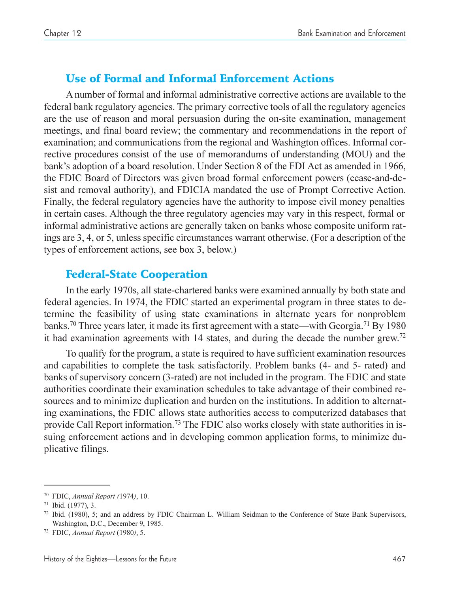## Use of Formal and Informal Enforcement Actions

A number of formal and informal administrative corrective actions are available to the federal bank regulatory agencies. The primary corrective tools of all the regulatory agencies are the use of reason and moral persuasion during the on-site examination, management meetings, and final board review; the commentary and recommendations in the report of examination; and communications from the regional and Washington offices. Informal corrective procedures consist of the use of memorandums of understanding (MOU) and the bank's adoption of a board resolution. Under Section 8 of the FDI Act as amended in 1966, the FDIC Board of Directors was given broad formal enforcement powers (cease-and-desist and removal authority), and FDICIA mandated the use of Prompt Corrective Action. Finally, the federal regulatory agencies have the authority to impose civil money penalties in certain cases. Although the three regulatory agencies may vary in this respect, formal or informal administrative actions are generally taken on banks whose composite uniform ratings are 3, 4, or 5, unless specific circumstances warrant otherwise. (For a description of the types of enforcement actions, see box 3, below.)

## Federal-State Cooperation

In the early 1970s, all state-chartered banks were examined annually by both state and federal agencies. In 1974, the FDIC started an experimental program in three states to determine the feasibility of using state examinations in alternate years for nonproblem banks.<sup>70</sup> Three years later, it made its first agreement with a state—with Georgia.<sup>71</sup> By 1980 it had examination agreements with 14 states, and during the decade the number grew.<sup>72</sup>

To qualify for the program, a state is required to have sufficient examination resources and capabilities to complete the task satisfactorily. Problem banks (4- and 5- rated) and banks of supervisory concern (3-rated) are not included in the program. The FDIC and state authorities coordinate their examination schedules to take advantage of their combined resources and to minimize duplication and burden on the institutions. In addition to alternating examinations, the FDIC allows state authorities access to computerized databases that provide Call Report information.73 The FDIC also works closely with state authorities in issuing enforcement actions and in developing common application forms, to minimize duplicative filings.

<sup>70</sup> FDIC, *Annual Report (*1974*)*, 10.

<sup>71</sup> Ibid. (1977), 3.

<sup>72</sup> Ibid. (1980), 5; and an address by FDIC Chairman L. William Seidman to the Conference of State Bank Supervisors, Washington, D.C., December 9, 1985.

<sup>73</sup> FDIC, *Annual Report* (1980*)*, 5.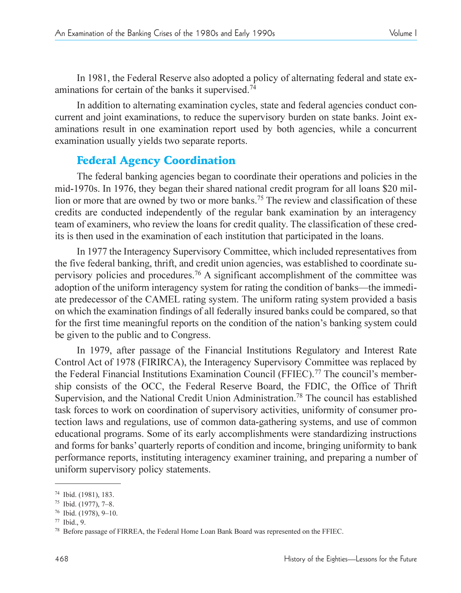In 1981, the Federal Reserve also adopted a policy of alternating federal and state examinations for certain of the banks it supervised.<sup>74</sup>

In addition to alternating examination cycles, state and federal agencies conduct concurrent and joint examinations, to reduce the supervisory burden on state banks. Joint examinations result in one examination report used by both agencies, while a concurrent examination usually yields two separate reports.

## Federal Agency Coordination

The federal banking agencies began to coordinate their operations and policies in the mid-1970s. In 1976, they began their shared national credit program for all loans \$20 million or more that are owned by two or more banks.<sup>75</sup> The review and classification of these credits are conducted independently of the regular bank examination by an interagency team of examiners, who review the loans for credit quality. The classification of these credits is then used in the examination of each institution that participated in the loans.

In 1977 the Interagency Supervisory Committee, which included representatives from the five federal banking, thrift, and credit union agencies, was established to coordinate supervisory policies and procedures.76 A significant accomplishment of the committee was adoption of the uniform interagency system for rating the condition of banks—the immediate predecessor of the CAMEL rating system. The uniform rating system provided a basis on which the examination findings of all federally insured banks could be compared, so that for the first time meaningful reports on the condition of the nation's banking system could be given to the public and to Congress.

In 1979, after passage of the Financial Institutions Regulatory and Interest Rate Control Act of 1978 (FIRIRCA), the Interagency Supervisory Committee was replaced by the Federal Financial Institutions Examination Council (FFIEC).<sup>77</sup> The council's membership consists of the OCC, the Federal Reserve Board, the FDIC, the Office of Thrift Supervision, and the National Credit Union Administration.<sup>78</sup> The council has established task forces to work on coordination of supervisory activities, uniformity of consumer protection laws and regulations, use of common data-gathering systems, and use of common educational programs. Some of its early accomplishments were standardizing instructions and forms for banks' quarterly reports of condition and income, bringing uniformity to bank performance reports, instituting interagency examiner training, and preparing a number of uniform supervisory policy statements.

<sup>74</sup> Ibid. (1981), 183.

<sup>75</sup> Ibid. (1977), 7-8.

<sup>76</sup> Ibid. (1978), 9-10.

<sup>77</sup> Ibid., 9.

<sup>78</sup> Before passage of FIRREA, the Federal Home Loan Bank Board was represented on the FFIEC.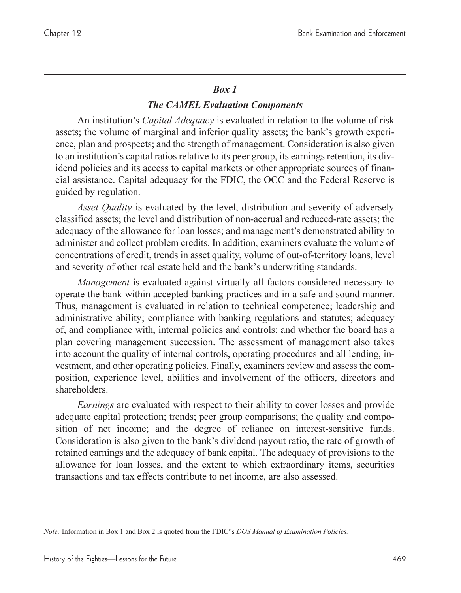## *Box 1*

## *The CAMEL Evaluation Components*

An institution's *Capital Adequacy* is evaluated in relation to the volume of risk assets; the volume of marginal and inferior quality assets; the bank's growth experience, plan and prospects; and the strength of management. Consideration is also given to an institution's capital ratios relative to its peer group, its earnings retention, its dividend policies and its access to capital markets or other appropriate sources of financial assistance. Capital adequacy for the FDIC, the OCC and the Federal Reserve is guided by regulation.

*Asset Quality* is evaluated by the level, distribution and severity of adversely classified assets; the level and distribution of non-accrual and reduced-rate assets; the adequacy of the allowance for loan losses; and management's demonstrated ability to administer and collect problem credits. In addition, examiners evaluate the volume of concentrations of credit, trends in asset quality, volume of out-of-territory loans, level and severity of other real estate held and the bank's underwriting standards.

*Management* is evaluated against virtually all factors considered necessary to operate the bank within accepted banking practices and in a safe and sound manner. Thus, management is evaluated in relation to technical competence; leadership and administrative ability; compliance with banking regulations and statutes; adequacy of, and compliance with, internal policies and controls; and whether the board has a plan covering management succession. The assessment of management also takes into account the quality of internal controls, operating procedures and all lending, investment, and other operating policies. Finally, examiners review and assess the composition, experience level, abilities and involvement of the officers, directors and shareholders.

*Earnings* are evaluated with respect to their ability to cover losses and provide adequate capital protection; trends; peer group comparisons; the quality and composition of net income; and the degree of reliance on interest-sensitive funds. Consideration is also given to the bank's dividend payout ratio, the rate of growth of retained earnings and the adequacy of bank capital. The adequacy of provisions to the allowance for loan losses, and the extent to which extraordinary items, securities transactions and tax effects contribute to net income, are also assessed.

*Note:* Information in Box 1 and Box 2 is quoted from the FDIC"s *DOS Manual of Examination Policies*.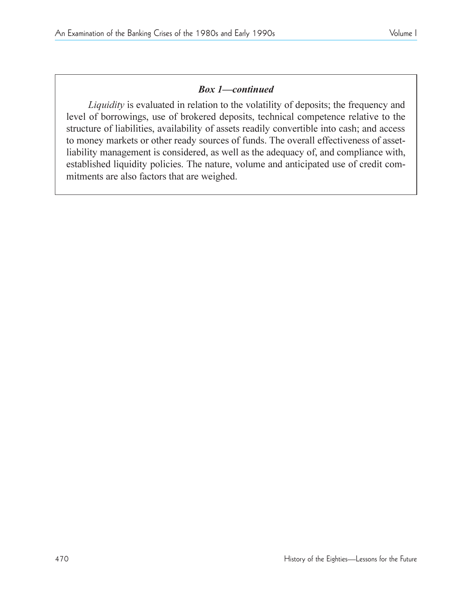## **Box 1–continued**

*Liquidity* is evaluated in relation to the volatility of deposits; the frequency and level of borrowings, use of brokered deposits, technical competence relative to the structure of liabilities, availability of assets readily convertible into cash; and access to money markets or other ready sources of funds. The overall effectiveness of assetliability management is considered, as well as the adequacy of, and compliance with, established liquidity policies. The nature, volume and anticipated use of credit commitments are also factors that are weighed.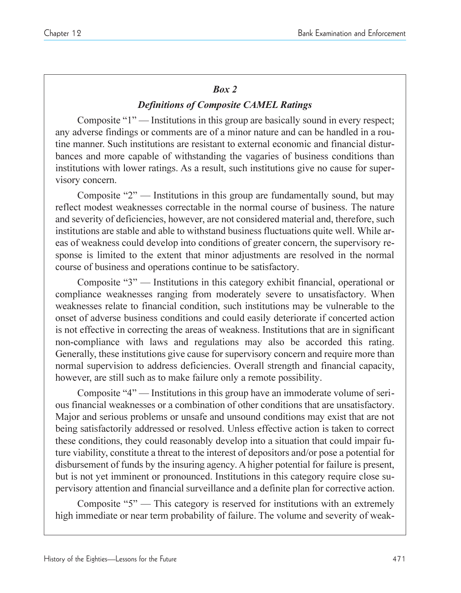### *Box 2*

## *Definitions of Composite CAMEL Ratings*

Composite  $1"$  - Institutions in this group are basically sound in every respect; any adverse findings or comments are of a minor nature and can be handled in a routine manner. Such institutions are resistant to external economic and financial disturbances and more capable of withstanding the vagaries of business conditions than institutions with lower ratings. As a result, such institutions give no cause for supervisory concern.

Composite  $"2"$  — Institutions in this group are fundamentally sound, but may reflect modest weaknesses correctable in the normal course of business. The nature and severity of deficiencies, however, are not considered material and, therefore, such institutions are stable and able to withstand business fluctuations quite well. While areas of weakness could develop into conditions of greater concern, the supervisory response is limited to the extent that minor adjustments are resolved in the normal course of business and operations continue to be satisfactory.

Composite " $3$ " — Institutions in this category exhibit financial, operational or compliance weaknesses ranging from moderately severe to unsatisfactory. When weaknesses relate to financial condition, such institutions may be vulnerable to the onset of adverse business conditions and could easily deteriorate if concerted action is not effective in correcting the areas of weakness. Institutions that are in significant non-compliance with laws and regulations may also be accorded this rating. Generally, these institutions give cause for supervisory concern and require more than normal supervision to address deficiencies. Overall strength and financial capacity, however, are still such as to make failure only a remote possibility.

Composite  $4"$  Institutions in this group have an immoderate volume of serious financial weaknesses or a combination of other conditions that are unsatisfactory. Major and serious problems or unsafe and unsound conditions may exist that are not being satisfactorily addressed or resolved. Unless effective action is taken to correct these conditions, they could reasonably develop into a situation that could impair future viability, constitute a threat to the interest of depositors and/or pose a potential for disbursement of funds by the insuring agency. A higher potential for failure is present, but is not yet imminent or pronounced. Institutions in this category require close supervisory attention and financial surveillance and a definite plan for corrective action.

Composite " $5$ " — This category is reserved for institutions with an extremely high immediate or near term probability of failure. The volume and severity of weak-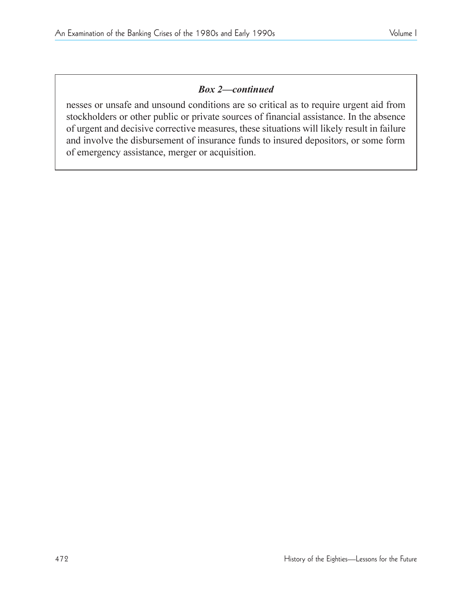## **Box 2-continued**

nesses or unsafe and unsound conditions are so critical as to require urgent aid from stockholders or other public or private sources of financial assistance. In the absence of urgent and decisive corrective measures, these situations will likely result in failure and involve the disbursement of insurance funds to insured depositors, or some form of emergency assistance, merger or acquisition.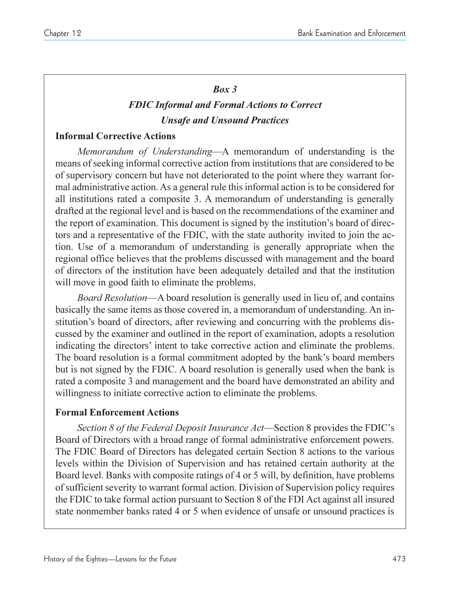#### *Box 3*

# *FDIC Informal and Formal Actions to Correct Unsafe and Unsound Practices*

#### **Informal Corrective Actions**

*Memorandum of Understanding*—A memorandum of understanding is the means of seeking informal corrective action from institutions that are considered to be of supervisory concern but have not deteriorated to the point where they warrant formal administrative action. As a general rule this informal action is to be considered for all institutions rated a composite 3. A memorandum of understanding is generally drafted at the regional level and is based on the recommendations of the examiner and the report of examination. This document is signed by the institution's board of directors and a representative of the FDIC, with the state authority invited to join the action. Use of a memorandum of understanding is generally appropriate when the regional office believes that the problems discussed with management and the board of directors of the institution have been adequately detailed and that the institution will move in good faith to eliminate the problems.

*Board Resolution*—A board resolution is generally used in lieu of, and contains basically the same items as those covered in, a memorandum of understanding. An institution's board of directors, after reviewing and concurring with the problems discussed by the examiner and outlined in the report of examination, adopts a resolution indicating the directors' intent to take corrective action and eliminate the problems. The board resolution is a formal commitment adopted by the bank's board members but is not signed by the FDIC. A board resolution is generally used when the bank is rated a composite 3 and management and the board have demonstrated an ability and willingness to initiate corrective action to eliminate the problems.

## **Formal Enforcement Actions**

*Section 8 of the Federal Deposit Insurance Act*—Section 8 provides the FDIC's Board of Directors with a broad range of formal administrative enforcement powers. The FDIC Board of Directors has delegated certain Section 8 actions to the various levels within the Division of Supervision and has retained certain authority at the Board level. Banks with composite ratings of 4 or 5 will, by definition, have problems of sufficient severity to warrant formal action. Division of Supervision policy requires the FDIC to take formal action pursuant to Section 8 of the FDI Act against all insured state nonmember banks rated 4 or 5 when evidence of unsafe or unsound practices is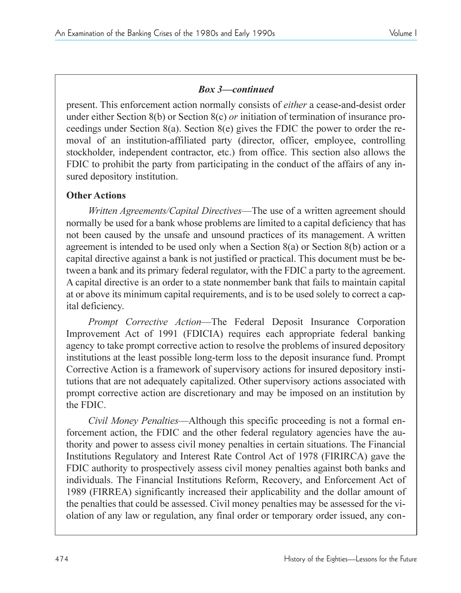## **Box 3–continued**

present. This enforcement action normally consists of *either* a cease-and-desist order under either Section 8(b) or Section 8(c) *or* initiation of termination of insurance proceedings under Section 8(a). Section 8(e) gives the FDIC the power to order the removal of an institution-affiliated party (director, officer, employee, controlling stockholder, independent contractor, etc.) from office. This section also allows the FDIC to prohibit the party from participating in the conduct of the affairs of any insured depository institution.

## **Other Actions**

*Written Agreements/Capital Directives*—The use of a written agreement should normally be used for a bank whose problems are limited to a capital deficiency that has not been caused by the unsafe and unsound practices of its management. A written agreement is intended to be used only when a Section  $8(a)$  or Section  $8(b)$  action or a capital directive against a bank is not justified or practical. This document must be between a bank and its primary federal regulator, with the FDIC a party to the agreement. A capital directive is an order to a state nonmember bank that fails to maintain capital at or above its minimum capital requirements, and is to be used solely to correct a capital deficiency.

*Prompt Corrective Action*—The Federal Deposit Insurance Corporation Improvement Act of 1991 (FDICIA) requires each appropriate federal banking agency to take prompt corrective action to resolve the problems of insured depository institutions at the least possible long-term loss to the deposit insurance fund. Prompt Corrective Action is a framework of supervisory actions for insured depository institutions that are not adequately capitalized. Other supervisory actions associated with prompt corrective action are discretionary and may be imposed on an institution by the FDIC.

*Civil Money Penalties*—Although this specific proceeding is not a formal enforcement action, the FDIC and the other federal regulatory agencies have the authority and power to assess civil money penalties in certain situations. The Financial Institutions Regulatory and Interest Rate Control Act of 1978 (FIRIRCA) gave the FDIC authority to prospectively assess civil money penalties against both banks and individuals. The Financial Institutions Reform, Recovery, and Enforcement Act of 1989 (FIRREA) significantly increased their applicability and the dollar amount of the penalties that could be assessed. Civil money penalties may be assessed for the violation of any law or regulation, any final order or temporary order issued, any con